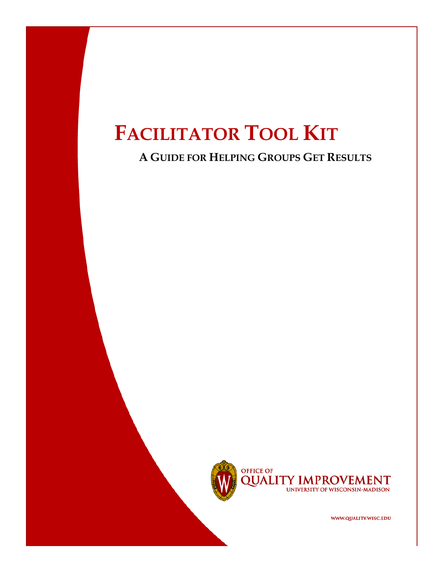## **A GUIDE FOR HELPING GROUPS GET RESULTS**



**OFFICE OF QUALITY IMPROVEMENT** UNIVERSITY OF WISCONSIN-MADISON

WWW.QUALITY.WISC.EDU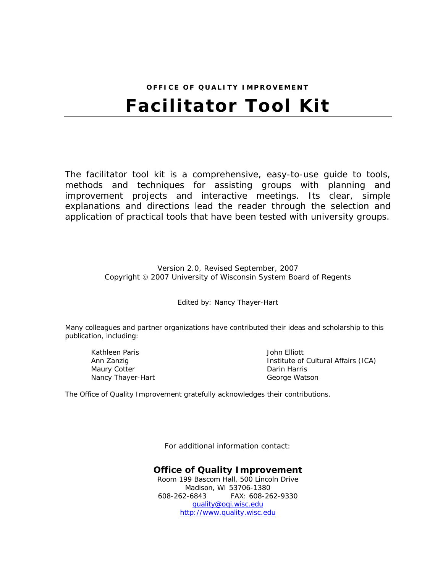# **OFFICE OF QUALITY IMPROVEMENT Facilitator Tool Kit**

The facilitator tool kit is a comprehensive, easy-to-use guide to tools, methods and techniques for assisting groups with planning and improvement projects and interactive meetings. Its clear, simple explanations and directions lead the reader through the selection and application of practical tools that have been tested with university groups.

> Version 2.0, Revised September, 2007 Copyright © 2007 University of Wisconsin System Board of Regents

> > Edited by: Nancy Thayer-Hart

Many colleagues and partner organizations have contributed their ideas and scholarship to this publication, including:

Kathleen Paris Ann Zanzig Maury Cotter Nancy Thayer-Hart

John Elliott Institute of Cultural Affairs (ICA) Darin Harris George Watson

The Office of Quality Improvement gratefully acknowledges their contributions.

For additional information contact:

#### **Office of Quality Improvement**

Room 199 Bascom Hall, 500 Lincoln Drive Madison, WI 53706-1380 608-262-6843 FAX: 608-262-9330 [quality@oqi.wisc.edu](mailto:quality@oqi.wisc.edu) [http://www.quality.wisc.edu](http://www.wisc.edu/improve)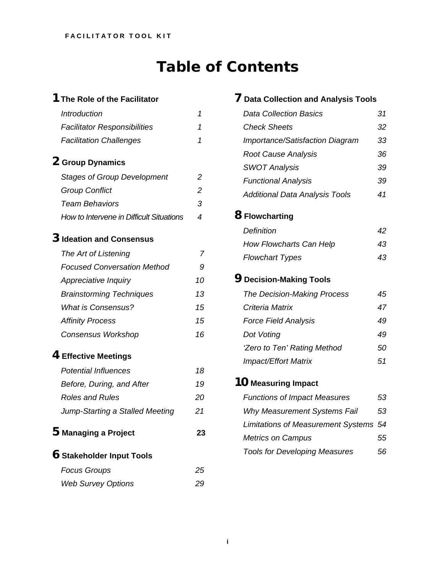# **Table of Contents**

## **[1](#page-5-0) [The Role of the Facilitator](#page-5-0)**

| Introduction                                    | 1  |
|-------------------------------------------------|----|
| <b>Facilitator Responsibilities</b>             | 1  |
| <b>Facilitation Challenges</b>                  | 1  |
| 2 Group Dynamics                                |    |
| <b>Stages of Group Development</b>              | 2  |
| <b>Group Conflict</b>                           | 2  |
| Team Behaviors                                  | 3  |
| <b>How to Intervene in Difficult Situations</b> | 4  |
| 3 Ideation and Consensus                        |    |
| The Art of Listening                            | 7  |
| <b>Focused Conversation Method</b>              | 9  |
| Appreciative Inquiry                            | 10 |
| <b>Brainstorming Techniques</b>                 | 13 |
| What is Consensus?                              | 15 |
| <b>Affinity Process</b>                         | 15 |
| <b>Consensus Workshop</b>                       | 16 |
|                                                 |    |

## **[4](#page-22-0) [Effective Meetings](#page-22-0)**

| Potential Influences            | 18 |
|---------------------------------|----|
| Before, During, and After       | 19 |
| Roles and Rules                 | 20 |
| Jump-Starting a Stalled Meeting | 21 |
|                                 |    |
| 5 Managing a Project            | 23 |
| $6$ Stakeholder Input Tools     |    |

| <i>I</i> uuus Giuups      | ZJ. |
|---------------------------|-----|
| <b>Web Survey Options</b> | 29  |

## **[7](#page-35-0) [Data Collection and Analysis Tools](#page-35-0)**

| <b>Data Collection Basics</b>          | 31 |
|----------------------------------------|----|
| <b>Check Sheets</b>                    | 32 |
| <b>Importance/Satisfaction Diagram</b> | 33 |
| <b>Root Cause Analysis</b>             | 36 |
| <b>SWOT Analysis</b>                   | 39 |
| <b>Functional Analysis</b>             | 39 |
| <b>Additional Data Analysis Tools</b>  | 41 |
| 8 Flowcharting                         |    |
| Definition                             | 42 |
| <b>How Flowcharts Can Help</b>         | 43 |
| <b>Flowchart Types</b>                 | 43 |
| <b>9</b> Decision-Making Tools         |    |
| <b>The Decision-Making Process</b>     | 45 |
| Criteria Matrix                        | 47 |
| <b>Force Field Analysis</b>            | 49 |
| Dot Voting                             | 49 |
| 'Zero to Ten' Rating Method            | 50 |
| <b>Impact/Effort Matrix</b>            | 51 |
| 10 Measuring Impact                    |    |
| <b>Functions of Impact Measures</b>    | 53 |
| Why Measurement Systems Fail           | 53 |
| Limitations of Measurement Systems 54  |    |
| <b>Metrics on Campus</b>               | 55 |

*[Tools for Developing Measures 56](#page-60-0)*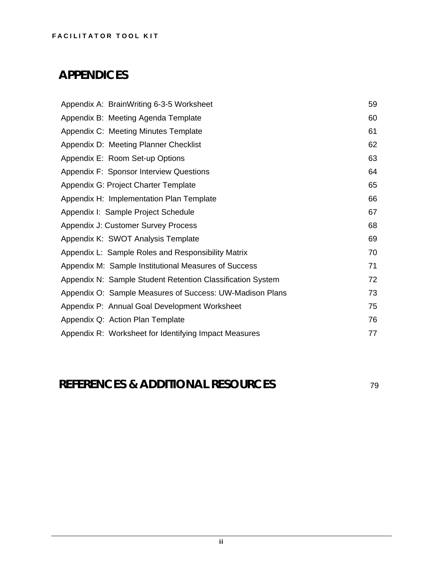# **APPENDICES**

| Appendix A: BrainWriting 6-3-5 Worksheet                   | 59 |
|------------------------------------------------------------|----|
| Appendix B: Meeting Agenda Template                        | 60 |
| Appendix C: Meeting Minutes Template                       | 61 |
| Appendix D: Meeting Planner Checklist                      | 62 |
| Appendix E: Room Set-up Options                            | 63 |
| Appendix F: Sponsor Interview Questions                    | 64 |
| Appendix G: Project Charter Template                       | 65 |
| Appendix H: Implementation Plan Template                   | 66 |
| Appendix I: Sample Project Schedule                        | 67 |
| Appendix J: Customer Survey Process                        | 68 |
| Appendix K: SWOT Analysis Template                         | 69 |
| Appendix L: Sample Roles and Responsibility Matrix         | 70 |
| Appendix M: Sample Institutional Measures of Success       | 71 |
| Appendix N: Sample Student Retention Classification System | 72 |
| Appendix O: Sample Measures of Success: UW-Madison Plans   | 73 |
| Appendix P: Annual Goal Development Worksheet              | 75 |
| Appendix Q: Action Plan Template                           | 76 |
| Appendix R: Worksheet for Identifying Impact Measures      | 77 |

# **REFERENCES & ADDITIONAL RESOURCES** <sup>79</sup>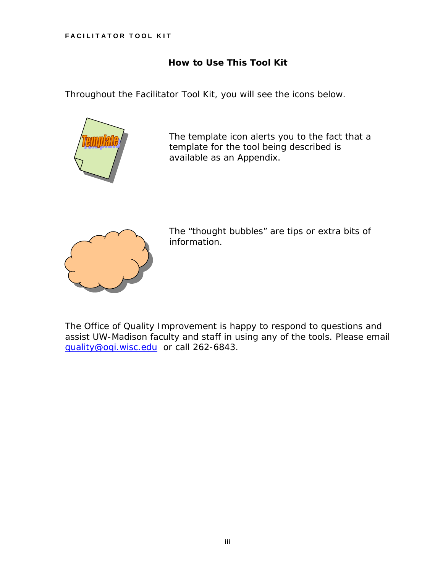### **How to Use This Tool Kit**

Throughout the *Facilitator Tool Kit*, you will see the icons below.



 The template icon alerts you to the fact that a template for the tool being described is available as an Appendix.



 The "thought bubbles" are tips or extra bits of information.

The Office of Quality Improvement is happy to respond to questions and assist UW-Madison faculty and staff in using any of the tools. Please email [quality@oqi.wisc.edu](mailto:quality@oqi.wisc.edu) or call 262-6843.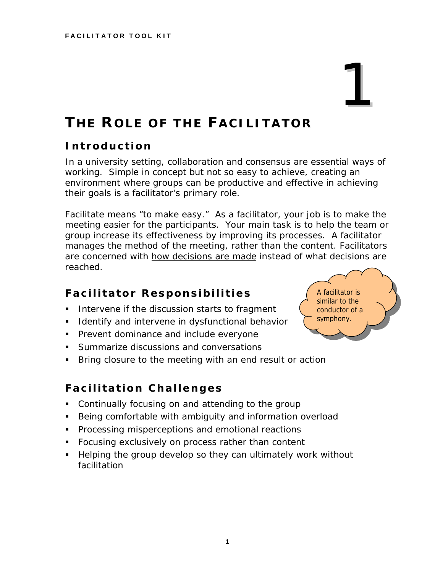# <span id="page-5-0"></span>**THE ROLE OF THE FACILITATOR**

## **Introduction**

In a university setting, collaboration and consensus are essential ways of working. Simple in concept but not so easy to achieve, creating an environment where groups can be productive and effective in achieving their goals is a facilitator's primary role.

*Facilitate* means "to make easy." As a facilitator, your job is to make the meeting easier for the participants. Your main task is to help the team or group increase its effectiveness by improving its processes. A facilitator manages the method of the meeting, rather than the content. Facilitators are concerned with how decisions are made instead of what decisions are reached.

## **Facilitator Responsibilities**

- Intervene if the discussion starts to fragment
- **I** Identify and intervene in dysfunctional behavior
- **Prevent dominance and include everyone**
- **Summarize discussions and conversations**
- **Bring closure to the meeting with an end result or action**

## **Facilitation Challenges**

- Continually focusing on and attending to the group
- **Being comfortable with ambiguity and information overload**
- **Processing misperceptions and emotional reactions**
- **Focusing exclusively on process rather than content**
- **Helping the group develop so they can ultimately work without** facilitation



1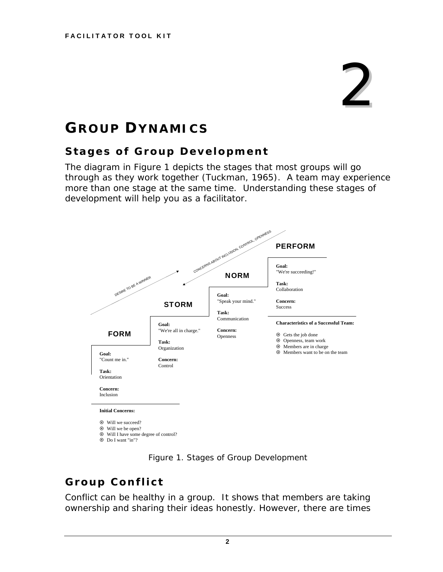# 2

# <span id="page-6-0"></span>**GROUP DYNAMICS**

## **Stages of Group Development**

The diagram in Figure 1 depicts the stages that most groups will go through as they work together (Tuckman, 1965). A team may experience more than one stage at the same time. Understanding these stages of development will help you as a facilitator.



*Figure 1. Stages of Group Development* 

## **Group Conflict**

Conflict can be healthy in a group. It shows that members are taking ownership and sharing their ideas honestly. However, there are times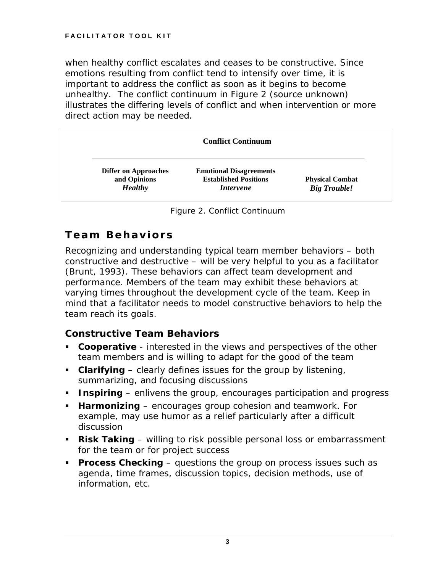<span id="page-7-0"></span>when healthy conflict escalates and ceases to be constructive. Since emotions resulting from conflict tend to intensify over time, it is important to address the conflict as soon as it begins to become unhealthy. The conflict continuum in Figure 2 (source unknown) illustrates the differing levels of conflict and when intervention or more direct action may be needed.

|                                             | <b>Conflict Continuum</b>                                      |                        |
|---------------------------------------------|----------------------------------------------------------------|------------------------|
| <b>Differ on Approaches</b><br>and Opinions | <b>Emotional Disagreements</b><br><b>Established Positions</b> | <b>Physical Combat</b> |
| <b>Healthy</b>                              | <i>Intervene</i>                                               | <b>Big Trouble!</b>    |

*Figure 2. Conflict Continuum*

## **Team Behaviors**

Recognizing and understanding typical team member behaviors – both constructive and destructive – will be very helpful to you as a facilitator (Brunt, 1993). These behaviors can affect team development and performance. Members of the team may exhibit these behaviors at varying times throughout the development cycle of the team. Keep in mind that a facilitator needs to model constructive behaviors to help the team reach its goals.

## *Constructive Team Behaviors*

- **Cooperative** interested in the views and perspectives of the other team members and is willing to adapt for the good of the team
- **Clarifying** clearly defines issues for the group by listening, summarizing, and focusing discussions
- **Inspiring** enlivens the group, encourages participation and progress
- **Harmonizing** encourages group cohesion and teamwork. For example, may use humor as a relief particularly after a difficult discussion
- **Risk Taking** willing to risk possible personal loss or embarrassment for the team or for project success
- **Process Checking** questions the group on process issues such as agenda, time frames, discussion topics, decision methods, use of information, etc.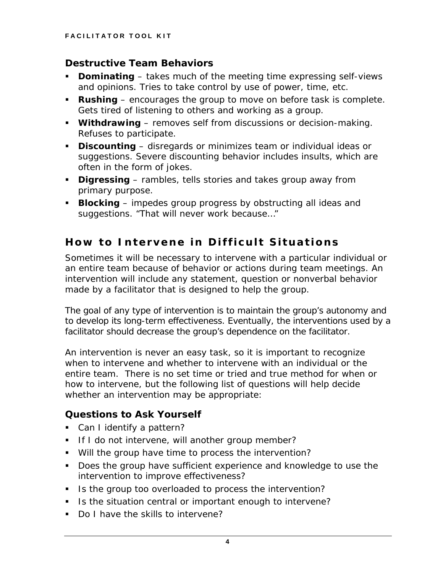## <span id="page-8-0"></span>*Destructive Team Behaviors*

- **Dominating** takes much of the meeting time expressing self-views and opinions. Tries to take control by use of power, time, etc.
- **Rushing** encourages the group to move on before task is complete. Gets tired of listening to others and working as a group.
- **Withdrawing** removes self from discussions or decision-making. Refuses to participate.
- **Discounting** disregards or minimizes team or individual ideas or suggestions. Severe discounting behavior includes insults, which are often in the form of jokes.
- **Digressing** rambles, tells stories and takes group away from primary purpose.
- **Blocking** impedes group progress by obstructing all ideas and suggestions. "That will never work because…"

## **How to Intervene in Difficult Situations**

Sometimes it will be necessary to intervene with a particular individual or an entire team because of behavior or actions during team meetings. An intervention will include any statement, question or nonverbal behavior made by a facilitator that is designed to help the group.

The goal of any type of intervention is to maintain the group's autonomy and to develop its long-term effectiveness. Eventually, the interventions used by a facilitator should decrease the group's dependence on the facilitator.

An intervention is never an easy task, so it is important to recognize when to intervene and whether to intervene with an individual or the entire team. There is no set time or tried and true method for when or how to intervene, but the following list of questions will help decide whether an intervention may be appropriate:

## *Questions to Ask Yourself*

- **Can I identify a pattern?**
- If I do not intervene, will another group member?
- Will the group have time to process the intervention?
- Does the group have sufficient experience and knowledge to use the intervention to improve effectiveness?
- I Is the group too overloaded to process the intervention?
- If Is the situation central or important enough to intervene?
- Do I have the skills to intervene?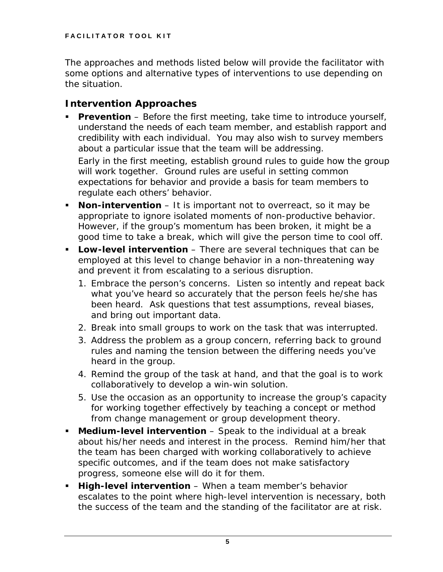The approaches and methods listed below will provide the facilitator with some options and alternative types of interventions to use depending on the situation.

## *Intervention Approaches*

- **Prevention** Before the first meeting, take time to introduce yourself, understand the needs of each team member, and establish rapport and credibility with each individual. You may also wish to survey members about a particular issue that the team will be addressing. Early in the first meeting, establish ground rules to guide how the group will work together. Ground rules are useful in setting common expectations for behavior and provide a basis for team members to regulate each others' behavior.
- **Non-intervention** It is important not to overreact, so it may be appropriate to ignore isolated moments of non-productive behavior. However, if the group's momentum has been broken, it might be a good time to take a break, which will give the person time to cool off.
- **Low-level intervention** There are several techniques that can be employed at this level to change behavior in a non-threatening way and prevent it from escalating to a serious disruption.
	- *1. Embrace the person's concerns. Listen so intently and repeat back what you've heard so accurately that the person feels he/she has been heard. Ask questions that test assumptions, reveal biases, and bring out important data.*
	- *2. Break into small groups to work on the task that was interrupted.*
	- *3. Address the problem as a group concern, referring back to ground rules and naming the tension between the differing needs you've heard in the group.*
	- *4. Remind the group of the task at hand, and that the goal is to work collaboratively to develop a win-win solution.*
	- *5. Use the occasion as an opportunity to increase the group's capacity for working together effectively by teaching a concept or method from change management or group development theory.*
- **Medium-level intervention** Speak to the individual at a break about his/her needs and interest in the process. Remind him/her that the team has been charged with working collaboratively to achieve specific outcomes, and if the team does not make satisfactory progress, someone else will do it for them.
- **High-level intervention** When a team member's behavior escalates to the point where high-level intervention is necessary, both the success of the team and the standing of the facilitator are at risk.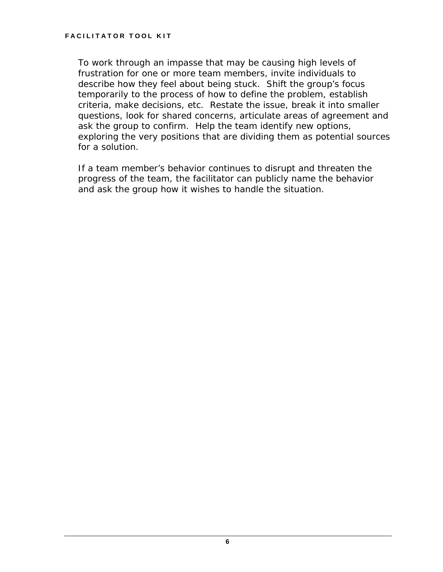To work through an impasse that may be causing high levels of frustration for one or more team members, invite individuals to describe how they feel about being stuck. Shift the group's focus temporarily to the process of how to define the problem, establish criteria, make decisions, etc. Restate the issue, break it into smaller questions, look for shared concerns, articulate areas of agreement and ask the group to confirm. Help the team identify new options, exploring the very positions that are dividing them as potential sources for a solution.

If a team member's behavior continues to disrupt and threaten the progress of the team, the facilitator can publicly name the behavior and ask the group how it wishes to handle the situation.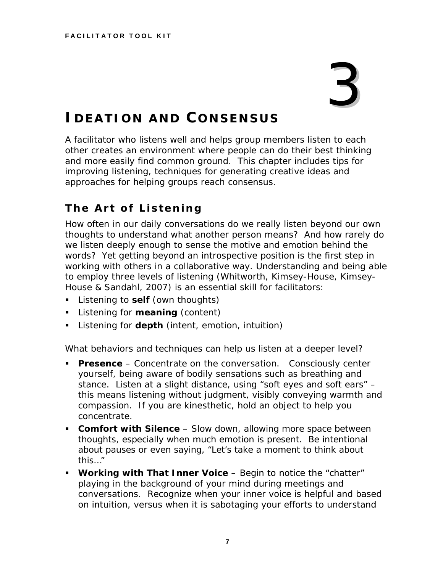# 3

# <span id="page-11-0"></span>**IDEATION AND CONSENSUS**

A facilitator who listens well and helps group members listen to each other creates an environment where people can do their best thinking and more easily find common ground. This chapter includes tips for improving listening, techniques for generating creative ideas and approaches for helping groups reach consensus.

## **The Art of Listening**

How often in our daily conversations do we really listen beyond our own thoughts to understand what another person means? And how rarely do we listen deeply enough to sense the motive and emotion behind the words? Yet getting beyond an introspective position is the first step in working with others in a collaborative way. Understanding and being able to employ three levels of listening (Whitworth, Kimsey-House, Kimsey-House & Sandahl, 2007) is an essential skill for facilitators:

- Listening to **self** (own thoughts)
- Listening for **meaning** (content)
- Listening for **depth** (intent, emotion, intuition)

What behaviors and techniques can help us listen at a deeper level?

- **Presence** Concentrate on the conversation. Consciously center yourself, being aware of bodily sensations such as breathing and stance. Listen at a slight distance, using "soft eyes and soft ears" – this means listening without judgment, visibly conveying warmth and compassion. If you are kinesthetic, hold an object to help you concentrate.
- **Comfort with Silence** Slow down, allowing more space between thoughts, especially when much emotion is present. Be intentional about pauses or even saying, "Let's take a moment to think about this…"
- **Working with That Inner Voice** Begin to notice the "chatter" playing in the background of your mind during meetings and conversations. Recognize when your inner voice is helpful and based on intuition, versus when it is sabotaging your efforts to understand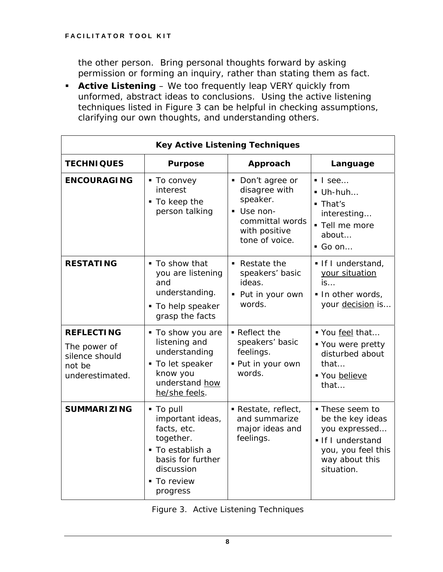the other person. Bring personal thoughts forward by asking permission or forming an inquiry, rather than stating them as fact.

 **Active Listening** – We too frequently leap VERY quickly from unformed, abstract ideas to conclusions. Using the active listening techniques listed in Figure 3 can be helpful in checking assumptions, clarifying our own thoughts, and understanding others.

| <b>Key Active Listening Techniques</b>                                           |                                                                                                                                           |                                                                                                                                   |                                                                                                                               |  |
|----------------------------------------------------------------------------------|-------------------------------------------------------------------------------------------------------------------------------------------|-----------------------------------------------------------------------------------------------------------------------------------|-------------------------------------------------------------------------------------------------------------------------------|--|
| <b>TECHNIQUES</b>                                                                | <b>Purpose</b>                                                                                                                            | Approach                                                                                                                          | Language                                                                                                                      |  |
| <b>ENCOURAGING</b>                                                               | ■ To convey<br>interest<br>$\blacksquare$ To keep the<br>person talking                                                                   | • Don't agree or<br>disagree with<br>speaker.<br>Use non-<br>$\blacksquare$<br>committal words<br>with positive<br>tone of voice. | $\blacksquare$ I see<br>$\blacksquare$ Uh-huh<br>• That's<br>interesting<br>- Tell me more<br>about<br>$\blacksquare$ Go on   |  |
| <b>RESTATING</b>                                                                 | ■ To show that<br>you are listening<br>and<br>understanding.<br>■ To help speaker<br>grasp the facts                                      | $\blacksquare$ Restate the<br>speakers' basic<br>ideas.<br>• Put in your own<br>words.                                            | If I understand,<br>your situation<br>$\mathsf{is}$<br>In other words,<br>your decision is                                    |  |
| <b>REFLECTING</b><br>The power of<br>silence should<br>not be<br>underestimated. | ■ To show you are<br>listening and<br>understanding<br>• To let speaker<br>know you<br>understand how<br>he/she feels.                    | Reflect the<br>speakers' basic<br>feelings.<br>· Put in your own<br>words.                                                        | Vou feel that<br>■ You were pretty<br>disturbed about<br>that<br>■ You believe<br>that                                        |  |
| <b>SUMMARIZING</b>                                                               | • To pull<br>important ideas,<br>facts, etc.<br>together.<br>• To establish a<br>basis for further<br>discussion<br>To review<br>progress | Restate, reflect,<br>and summarize<br>major ideas and<br>feelings.                                                                | ■ These seem to<br>be the key ideas<br>you expressed<br>If I understand<br>you, you feel this<br>way about this<br>situation. |  |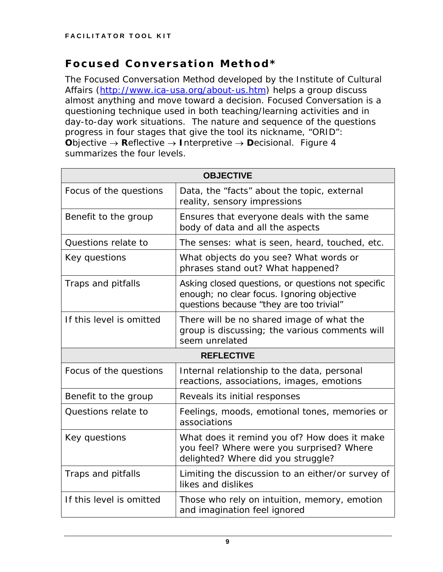## <span id="page-13-0"></span>**Focused Conversation Method\***

The Focused Conversation Method developed by the Institute of Cultural Affairs [\(http://www.ica-usa.org/about-us.htm\)](http://www.ica-usa.org/about-us.htm) helps a group discuss almost anything and move toward a decision. Focused Conversation is a questioning technique used in both teaching/learning activities and in day-to-day work situations. The nature and sequence of the questions progress in four stages that give the tool its nickname, "ORID": **O**bjective → **R**eflective → **I**nterpretive → **D**ecisional. Figure 4 summarizes the four levels.

| <b>OBJECTIVE</b>                                                                                                                          |                                                                                                                                              |  |  |  |
|-------------------------------------------------------------------------------------------------------------------------------------------|----------------------------------------------------------------------------------------------------------------------------------------------|--|--|--|
| Focus of the questions                                                                                                                    | Data, the "facts" about the topic, external<br>reality, sensory impressions                                                                  |  |  |  |
| Ensures that everyone deals with the same<br>Benefit to the group<br>body of data and all the aspects                                     |                                                                                                                                              |  |  |  |
| Questions relate to<br>The senses: what is seen, heard, touched, etc.                                                                     |                                                                                                                                              |  |  |  |
| What objects do you see? What words or<br>Key questions<br>phrases stand out? What happened?                                              |                                                                                                                                              |  |  |  |
| Traps and pitfalls                                                                                                                        | Asking closed questions, or questions not specific<br>enough; no clear focus. Ignoring objective<br>questions because "they are too trivial" |  |  |  |
| If this level is omitted<br>There will be no shared image of what the<br>group is discussing; the various comments will<br>seem unrelated |                                                                                                                                              |  |  |  |
|                                                                                                                                           | <b>REFLECTIVE</b>                                                                                                                            |  |  |  |
| Focus of the questions                                                                                                                    | Internal relationship to the data, personal<br>reactions, associations, images, emotions                                                     |  |  |  |
| Benefit to the group                                                                                                                      | Reveals its initial responses                                                                                                                |  |  |  |
| Questions relate to                                                                                                                       | Feelings, moods, emotional tones, memories or<br>associations                                                                                |  |  |  |
| Key questions                                                                                                                             | What does it remind you of? How does it make<br>you feel? Where were you surprised? Where<br>delighted? Where did you struggle?              |  |  |  |
| Traps and pitfalls                                                                                                                        | Limiting the discussion to an either/or survey of<br>likes and dislikes                                                                      |  |  |  |
| If this level is omitted                                                                                                                  | Those who rely on intuition, memory, emotion<br>and imagination feel ignored                                                                 |  |  |  |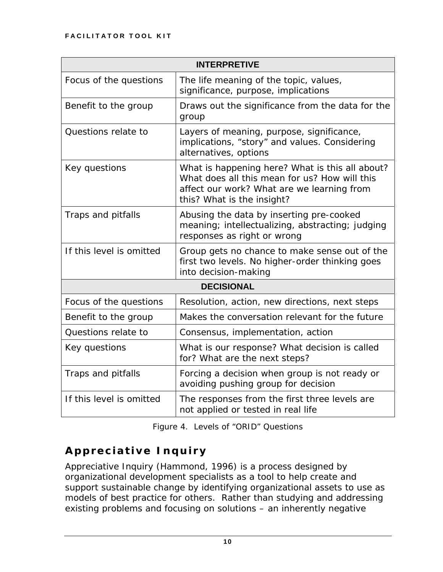<span id="page-14-0"></span>

| <b>INTERPRETIVE</b>      |                                                                                                                                                                              |  |  |
|--------------------------|------------------------------------------------------------------------------------------------------------------------------------------------------------------------------|--|--|
| Focus of the questions   | The life meaning of the topic, values,<br>significance, purpose, implications                                                                                                |  |  |
| Benefit to the group     | Draws out the significance from the data for the<br>group                                                                                                                    |  |  |
| Questions relate to      | Layers of meaning, purpose, significance,<br>implications, "story" and values. Considering<br>alternatives, options                                                          |  |  |
| Key questions            | What is happening here? What is this all about?<br>What does all this mean for us? How will this<br>affect our work? What are we learning from<br>this? What is the insight? |  |  |
| Traps and pitfalls       | Abusing the data by inserting pre-cooked<br>meaning; intellectualizing, abstracting; judging<br>responses as right or wrong                                                  |  |  |
| If this level is omitted | Group gets no chance to make sense out of the<br>first two levels. No higher-order thinking goes<br>into decision-making                                                     |  |  |
| <b>DECISIONAL</b>        |                                                                                                                                                                              |  |  |
| Focus of the questions   | Resolution, action, new directions, next steps                                                                                                                               |  |  |
| Benefit to the group     | Makes the conversation relevant for the future                                                                                                                               |  |  |
| Questions relate to      | Consensus, implementation, action                                                                                                                                            |  |  |
| Key questions            | What is our response? What decision is called<br>for? What are the next steps?                                                                                               |  |  |
| Traps and pitfalls       | Forcing a decision when group is not ready or<br>avoiding pushing group for decision                                                                                         |  |  |
| If this level is omitted | The responses from the first three levels are<br>not applied or tested in real life                                                                                          |  |  |

*Figure 4. Levels of "ORID" Questions* 

## **Appreciative Inquiry**

Appreciative Inquiry (Hammond, 1996) is a process designed by organizational development specialists as a tool to help create and support sustainable change by identifying organizational assets to use as models of best practice for others. Rather than studying and addressing existing problems and focusing on solutions – an inherently negative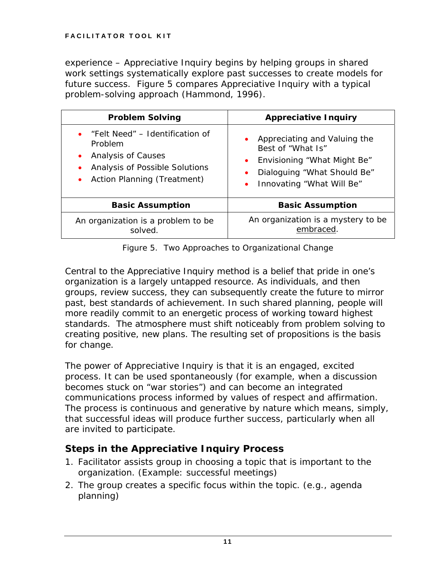experience – Appreciative Inquiry begins by helping groups in shared work settings systematically explore past successes to create models for future success. Figure 5 compares Appreciative Inquiry with a typical problem-solving approach (Hammond, 1996).

| <b>Problem Solving</b>                                                                                                            | <b>Appreciative Inquiry</b>                                                                                                                                 |
|-----------------------------------------------------------------------------------------------------------------------------------|-------------------------------------------------------------------------------------------------------------------------------------------------------------|
| "Felt Need" – Identification of<br>Problem<br>Analysis of Causes<br>Analysis of Possible Solutions<br>Action Planning (Treatment) | • Appreciating and Valuing the<br>Best of "What Is"<br>Envisioning "What Might Be"<br>$\bullet$<br>Dialoguing "What Should Be"<br>Innovating "What Will Be" |
| <b>Basic Assumption</b>                                                                                                           | <b>Basic Assumption</b>                                                                                                                                     |
| An organization is a problem to be<br>solved.                                                                                     | An organization is a mystery to be<br>embraced.                                                                                                             |

*Figure 5. Two Approaches to Organizational Change* 

Central to the Appreciative Inquiry method is a belief that pride in one's organization is a largely untapped resource. As individuals, and then groups, review success, they can subsequently create the future to mirror past, best standards of achievement. In such shared planning, people will more readily commit to an energetic process of working toward highest standards. The atmosphere must shift noticeably from problem solving to creating positive, new plans. The resulting set of propositions is the basis for change.

The power of Appreciative Inquiry is that it is an engaged, excited process. It can be used spontaneously (for example, when a discussion becomes stuck on "war stories") and can become an integrated communications process informed by values of respect and affirmation. The process is continuous and generative by nature which means, simply, that successful ideas will produce further success, particularly when all are invited to participate.

## *Steps in the Appreciative Inquiry Process*

- 1. Facilitator assists group in choosing a topic that is important to the organization. (Example: successful meetings)
- 2. The group creates a specific focus within the topic. (e.g., agenda planning)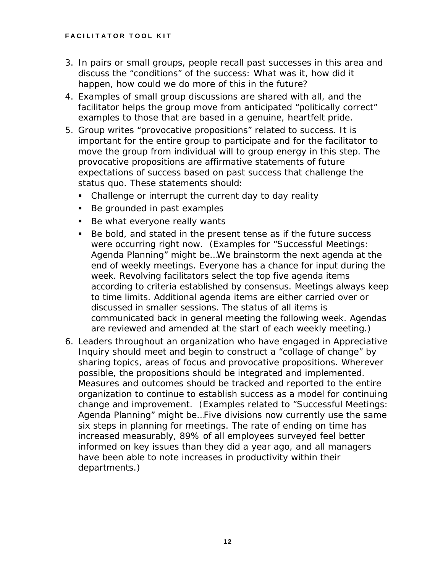- 3. In pairs or small groups, people recall past successes in this area and discuss the "conditions" of the success: What was it, how did it happen, how could we do more of this in the future?
- 4. Examples of small group discussions are shared with all, and the facilitator helps the group move from anticipated "politically correct" examples to those that are based in a genuine, heartfelt pride.
- 5. Group writes "provocative propositions" related to success. It is important for the entire group to participate and for the facilitator to move the group from individual will to group energy in this step. The provocative propositions are affirmative statements of future expectations of success based on past success that challenge the status quo. These statements should:
	- Challenge or interrupt the current day to day reality
	- Be grounded in past examples
	- Be what everyone really wants
	- Be bold, and stated in the present tense as if the future success were occurring right now. (Examples for "Successful Meetings: Agenda Planning" might be…*We brainstorm the next agenda at the end of weekly meetings. Everyone has a chance for input during the week. Revolving facilitators select the top five agenda items according to criteria established by consensus. Meetings always keep to time limits. Additional agenda items are either carried over or discussed in smaller sessions. The status of all items is communicated back in general meeting the following week. Agendas are reviewed and amended at the start of each weekly meeting.*)
- 6. Leaders throughout an organization who have engaged in Appreciative Inquiry should meet and begin to construct a "collage of change" by sharing topics, areas of focus and provocative propositions. Wherever possible, the propositions should be integrated and implemented. Measures and outcomes should be tracked and reported to the entire organization to continue to establish success as a model for continuing change and improvement. (Examples related to "Successful Meetings: Agenda Planning" might be…*Five divisions now currently use the same six steps in planning for meetings. The rate of ending on time has increased measurably, 89% of all employees surveyed feel better informed on key issues than they did a year ago, and all managers have been able to note increases in productivity within their departments.*)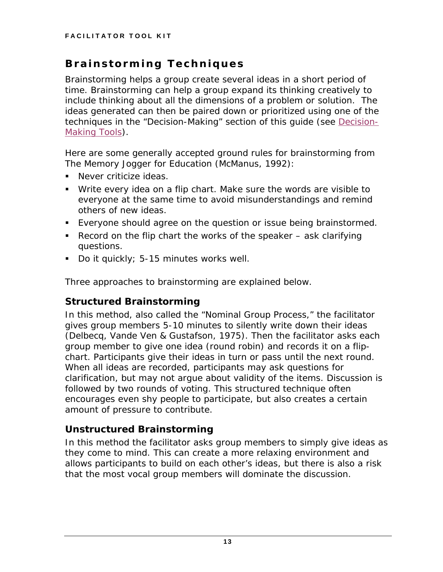## <span id="page-17-0"></span>**Brainstorming Techniques**

Brainstorming helps a group create several ideas in a short period of time. Brainstorming can help a group expand its thinking creatively to include thinking about all the dimensions of a problem or solution. The ideas generated can then be paired down or prioritized using one of the techniques in the "Decision-Making" section of this guide (see [Decision-](#page-49-0)[Making Tools](#page-49-0)).

Here are some generally accepted ground rules for brainstorming from *The Memory Jogger for Education* (McManus, 1992):

- **Never criticize ideas.**
- Write every idea on a flip chart. Make sure the words are visible to everyone at the same time to avoid misunderstandings and remind others of new ideas.
- Everyone should agree on the question or issue being brainstormed.
- Record on the flip chart the works of the speaker  $-$  ask clarifying questions.
- Do it quickly; 5-15 minutes works well.

Three approaches to brainstorming are explained below.

## *Structured Brainstorming*

In this method, also called the "Nominal Group Process," the facilitator gives group members 5-10 minutes to silently write down their ideas (Delbecq, Vande Ven & Gustafson, 1975). Then the facilitator asks each group member to give one idea (round robin) and records it on a flipchart. Participants give their ideas in turn or pass until the next round. When all ideas are recorded, participants may ask questions for clarification, but may not argue about validity of the items. Discussion is followed by two rounds of voting. This structured technique often encourages even shy people to participate, but also creates a certain amount of pressure to contribute.

## *Unstructured Brainstorming*

In this method the facilitator asks group members to simply give ideas as they come to mind. This can create a more relaxing environment and allows participants to build on each other's ideas, but there is also a risk that the most vocal group members will dominate the discussion.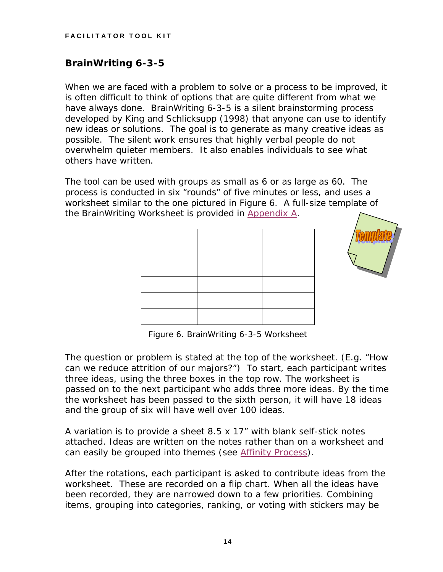## *BrainWriting 6-3-5*

When we are faced with a problem to solve or a process to be improved, it is often difficult to think of options that are quite different from what we have always done. BrainWriting 6-3-5 is a silent brainstorming process developed by King and Schlicksupp (1998) that anyone can use to identify new ideas or solutions. The goal is to generate as many creative ideas as possible. The silent work ensures that highly verbal people do not overwhelm quieter members. It also enables individuals to see what others have written.

The tool can be used with groups as small as 6 or as large as 60. The process is conducted in six "rounds" of five minutes or less, and uses a worksheet similar to the one pictured in Figure 6. A full-size template of the BrainWriting Worksheet is provided in [Appendix A.](#page-63-0)



*Figure 6. BrainWriting 6-3-5 Worksheet* 

The question or problem is stated at the top of the worksheet. (E.g. *"How can we reduce attrition of our majors?"*) To start, each participant writes three ideas, using the three boxes in the top row. The worksheet is passed on to the next participant who adds three more ideas. By the time the worksheet has been passed to the sixth person, it will have 18 ideas and the group of six will have well over 100 ideas.

A variation is to provide a sheet 8.5 x 17" with blank self-stick notes attached. Ideas are written on the notes rather than on a worksheet and can easily be grouped into themes (see [Affinity Process](#page-19-0)*)*.

After the rotations, each participant is asked to contribute ideas from the worksheet. These are recorded on a flip chart. When all the ideas have been recorded, they are narrowed down to a few priorities. Combining items, grouping into categories, ranking, or voting with stickers may be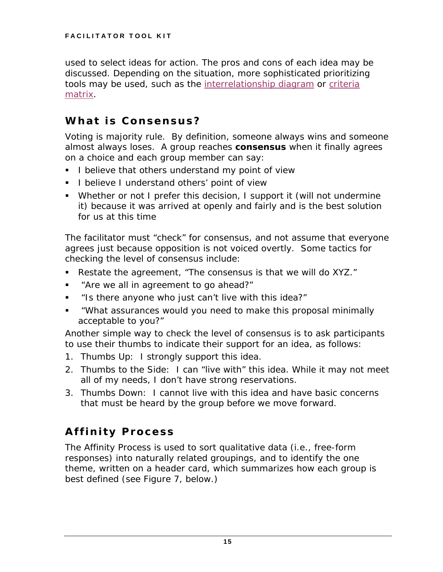<span id="page-19-0"></span>used to select ideas for action. The pros and cons of each idea may be discussed. Depending on the situation, more sophisticated prioritizing tools may be used, such as the [interrelationship diagram](#page-41-0) or [criteria](#page-51-0) [matrix](#page-51-0).

## **What is Consensus?**

Voting is majority rule. By definition, someone always wins and someone almost always loses. A group reaches *consensus* when it finally agrees on a choice and each group member can say:

- I believe that others understand my point of view
- **I** believe I understand others' point of view
- Whether or not I prefer this decision, I support it (will not undermine it) because it was arrived at openly and fairly and is the best solution for us at this time

The facilitator must "check" for consensus, and not assume that everyone agrees just because opposition is not voiced overtly. Some tactics for checking the level of consensus include:

- Restate the agreement, "The consensus is that we will do XYZ."
- "Are we all in agreement to go ahead?"
- "Is there anyone who just can't live with this idea?"
- "What assurances would you need to make this proposal minimally acceptable to you?"

Another simple way to check the level of consensus is to ask participants to use their thumbs to indicate their support for an idea, as follows:

- 1. *Thumbs Up:* I strongly support this idea.
- 2. *Thumbs to the Side:* I can "live with" this idea. While it may not meet all of my needs, I don't have strong reservations.
- 3. *Thumbs Down:* I cannot live with this idea and have basic concerns that must be heard by the group before we move forward.

# **Affinity Process**

The Affinity Process is used to sort qualitative data (i.e., free-form responses) into naturally related groupings, and to identify the one theme, written on a header card, which summarizes how each group is best defined (see Figure 7, below.)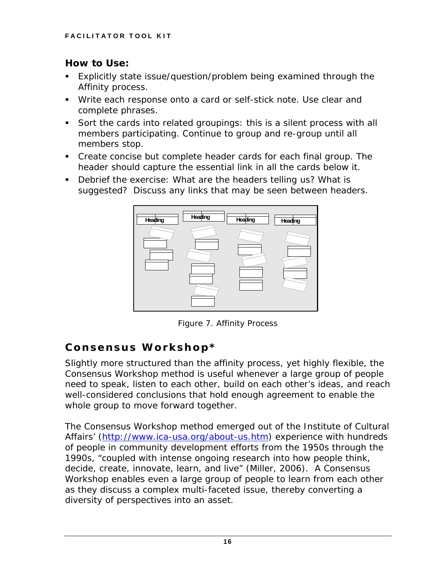## <span id="page-20-0"></span>*How to Use:*

- Explicitly state issue/question/problem being examined through the Affinity process.
- Write each response onto a card or self-stick note. Use clear and complete phrases.
- Sort the cards into related groupings: this is a silent process with all members participating. Continue to group and re-group until all members stop.
- Create concise but complete header cards for each final group. The header should capture the essential link in all the cards below it.
- Debrief the exercise: What are the headers telling us? What is suggested? Discuss any links that may be seen between headers.



*Figure 7. Affinity Process* 

# **Consensus Workshop\***

Slightly more structured than the affinity process, yet highly flexible, the Consensus Workshop method is useful whenever a large group of people need to speak, listen to each other, build on each other's ideas, and reach well-considered conclusions that hold enough agreement to enable the whole group to move forward together.

The Consensus Workshop method emerged out of the Institute of Cultural Affairs' [\(http://www.ica-usa.org/about-us.htm\)](http://www.ica-usa.org/about-us.htm) experience with hundreds of people in community development efforts from the 1950s through the 1990s, "coupled with intense ongoing research into how people think, decide, create, innovate, learn, and live" (Miller, 2006). A Consensus Workshop enables even a large group of people to learn from each other as they discuss a complex multi-faceted issue, thereby converting a diversity of perspectives into an asset.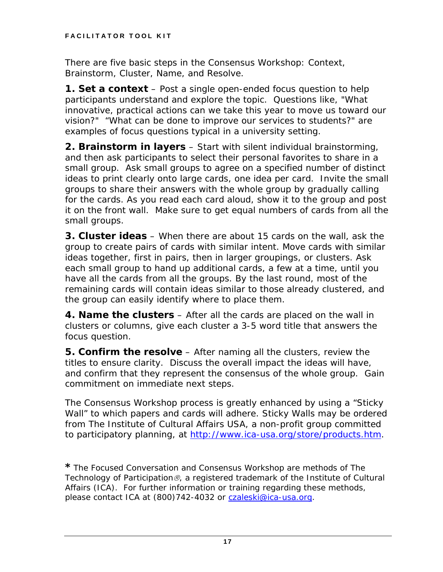There are five basic steps in the Consensus Workshop: Context, Brainstorm, Cluster, Name, and Resolve.

*1. Set a context* – Post a single open-ended focus question to help participants understand and explore the topic. Questions like, "What innovative, practical actions can we take this year to move us toward our vision?" "What can be done to improve our services to students?" are examples of focus questions typical in a university setting.

*2. Brainstorm in layers* – Start with silent individual brainstorming, and then ask participants to select their personal favorites to share in a small group. Ask small groups to agree on a specified number of distinct ideas to print clearly onto large cards, one idea per card. Invite the small groups to share their answers with the whole group by gradually calling for the cards. As you read each card aloud, show it to the group and post it on the front wall. Make sure to get equal numbers of cards from all the small groups.

*3. Cluster ideas* – When there are about 15 cards on the wall, ask the group to create pairs of cards with similar intent. Move cards with similar ideas together, first in pairs, then in larger groupings, or clusters. Ask each small group to hand up additional cards, a few at a time, until you have all the cards from all the groups. By the last round, most of the remaining cards will contain ideas similar to those already clustered, and the group can easily identify where to place them.

*4. Name the clusters* – After all the cards are placed on the wall in clusters or columns, give each cluster a 3-5 word title that answers the focus question.

*5. Confirm the resolve* – After naming all the clusters, review the titles to ensure clarity. Discuss the overall impact the ideas will have, and confirm that they represent the consensus of the whole group. Gain commitment on immediate next steps.

The Consensus Workshop process is greatly enhanced by using a "Sticky Wall" to which papers and cards will adhere. Sticky Walls may be ordered from The Institute of Cultural Affairs USA, a non-profit group committed to participatory planning, at<http://www.ica-usa.org/store/products.htm>.

**\****The Focused Conversation and Consensus Workshop are methods of The Technology of Participation*®*, a registered trademark of the Institute of Cultural Affairs (ICA). For further information or training regarding these methods, please contact ICA at (800)742-4032 or [czaleski@ica-usa.org.](mailto:czaleski@ica-usa.org)*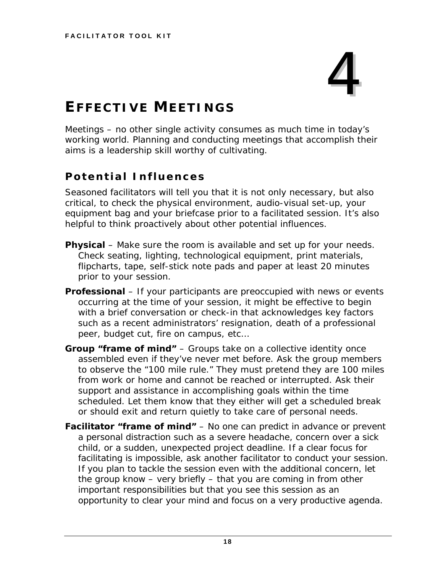# 4

# <span id="page-22-0"></span>**EFFECTIVE MEETINGS**

Meetings – no other single activity consumes as much time in today's working world. Planning and conducting meetings that accomplish their aims is a leadership skill worthy of cultivating.

## **Potential Influences**

Seasoned facilitators will tell you that it is not only necessary, but also critical, to check the physical environment, audio-visual set-up, your equipment bag and your briefcase prior to a facilitated session. It's also helpful to think proactively about other potential influences.

- **Physical** Make sure the room is available and set up for your needs. Check seating, lighting, technological equipment, print materials, flipcharts, tape, self-stick note pads and paper at least 20 minutes prior to your session.
- **Professional** If your participants are preoccupied with news or events occurring at the time of your session, it might be effective to begin with a brief conversation or check-in that acknowledges key factors such as a recent administrators' resignation, death of a professional peer, budget cut, fire on campus, etc…
- **Group "frame of mind"** Groups take on a collective identity once assembled even if they've never met before. Ask the group members to observe the "100 mile rule." They must pretend they are 100 miles from work or home and cannot be reached or interrupted. Ask their support and assistance in accomplishing goals within the time scheduled. Let them know that they either will get a scheduled break or should exit and return quietly to take care of personal needs.
- **Facilitator "frame of mind"** No one can predict in advance or prevent a personal distraction such as a severe headache, concern over a sick child, or a sudden, unexpected project deadline. If a clear focus for facilitating is impossible, ask another facilitator to conduct your session. If you plan to tackle the session even with the additional concern, let the group know – very briefly – that you are coming in from other important responsibilities but that you see this session as an opportunity to clear your mind and focus on a very productive agenda.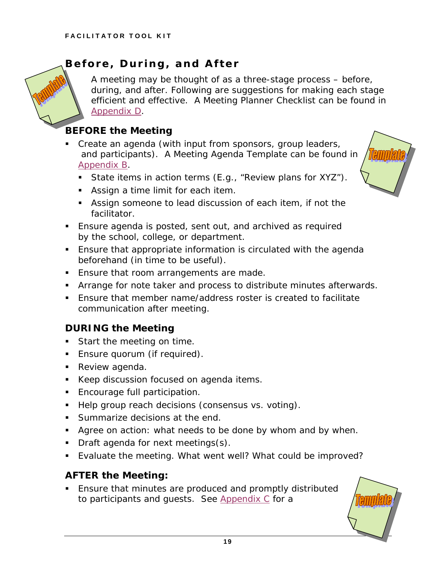## <span id="page-23-0"></span>**Before, During, and After**

A meeting may be thought of as a three-stage process – before, during, and after. Following are suggestions for making each stage efficient and effective. A *Meeting Planner Checklist* can be found in [Appendix D](#page-65-0).

## *BEFORE the Meeting*

**Create an agenda (with input from sponsors, group leaders,**  and participants). A Meeting Agenda Template can be found in [Appendix B](#page-64-0).



- State items in action terms (E.g., "Review plans for XYZ").
- **Assign a time limit for each item.**
- Assign someone to lead discussion of each item, if not the facilitator.
- Ensure agenda is posted, sent out, and archived as required by the school, college, or department.
- Ensure that appropriate information is circulated with the agenda beforehand (in time to be useful).
- **Ensure that room arrangements are made.**
- **Arrange for note taker and process to distribute minutes afterwards.**
- Ensure that member name/address roster is created to facilitate communication after meeting.

## *DURING the Meeting*

- Start the meeting on time.
- **Ensure quorum (if required).**
- **Review agenda.**
- Keep discussion focused on agenda items.
- **Encourage full participation.**
- Help group reach decisions (consensus vs. voting).
- **Summarize decisions at the end.**
- Agree on action: what needs to be done by whom and by when.
- Draft agenda for next meetings(s).
- Evaluate the meeting. What went well? What could be improved?

## *AFTER the Meeting:*

**Ensure that minutes are produced and promptly distributed** to participants and guests. See [Appendix C](#page-65-0) for a

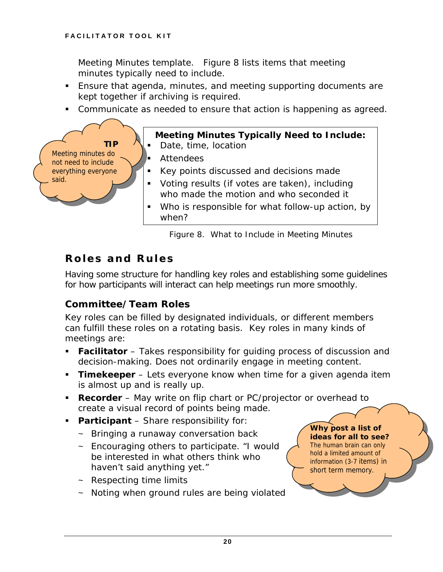**TIP**

Meeting minutes do not need to include everything everyone

said.

<span id="page-24-0"></span>Meeting Minutes template. Figure 8 lists items that meeting minutes typically need to include.

- Ensure that agenda, minutes, and meeting supporting documents are kept together if archiving is required.
- Communicate as needed to ensure that action is happening as agreed.

## **Meeting Minutes Typically Need to Include:**

- Date, time, location
- **Attendees**
- Key points discussed and decisions made
- Voting results (if votes are taken), including who made the motion and who seconded it
- Who is responsible for what follow-up action, by when?

 *Figure 8. What to Include in Meeting Minutes* 

## **Roles and Rules**

Having some structure for handling key roles and establishing some guidelines for how participants will interact can help meetings run more smoothly.

## *Committee/Team Roles*

Key roles can be filled by designated individuals, or different members can fulfill these roles on a rotating basis. Key roles in many kinds of meetings are:

- **Facilitator** Takes responsibility for guiding process of discussion and decision-making. Does not ordinarily engage in meeting content.
- **Timekeeper** Lets everyone know when time for a given agenda item is almost up and is really up.
- **Recorder** May write on flip chart or PC/projector or overhead to create a visual record of points being made.
- **Participant** Share responsibility for:
	- $\sim$  Bringing a runaway conversation back
	- ~ Encouraging others to participate. *"I would be interested in what others think who haven't said anything yet."*
	- $\sim$  Respecting time limits
	- ~ Noting when ground rules are being violated

*Why post a list of ideas for all to see?*  The human brain can only hold a limited amount of information (3-7 items) in

short term memory.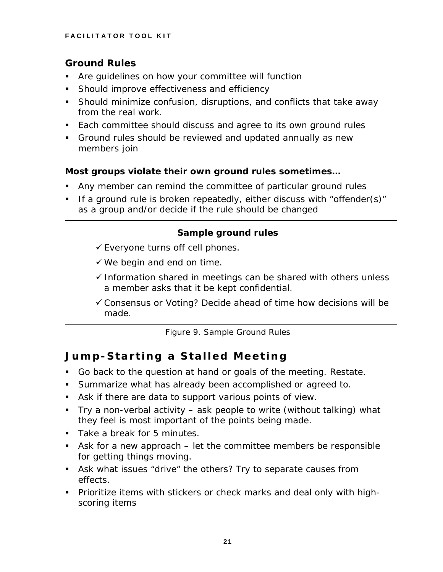## <span id="page-25-0"></span>*Ground Rules*

- Are guidelines on how your committee will function
- **Should improve effectiveness and efficiency**
- Should minimize confusion, disruptions, and conflicts that take away from the real work.
- Each committee should discuss and agree to its own ground rules
- Ground rules should be reviewed and updated annually as new members join

## **Most groups violate their own ground rules sometimes…**

- Any member can remind the committee of particular ground rules
- If a ground rule is broken repeatedly, either discuss with "offender(s)" as a group and/or decide if the rule should be changed

### **Sample ground rules**

- $\checkmark$  Everyone turns off cell phones.
- $\checkmark$  We begin and end on time.
- $\checkmark$  Information shared in meetings can be shared with others unless a member asks that it be kept confidential.
- $\checkmark$  Consensus or Voting? Decide ahead of time how decisions will be made.

*Figure 9. Sample Ground Rules* 

## **Jump-Starting a Stalled Meeting**

- Go back to the question at hand or goals of the meeting. Restate.
- Summarize what has already been accomplished or agreed to.
- Ask if there are data to support various points of view.
- Try a non-verbal activity ask people to write (without talking) what they feel is most important of the points being made.
- Take a break for 5 minutes.
- Ask for a new approach let the committee members be responsible for getting things moving.
- Ask what issues "drive" the others? Try to separate causes from effects.
- **Prioritize items with stickers or check marks and deal only with high**scoring items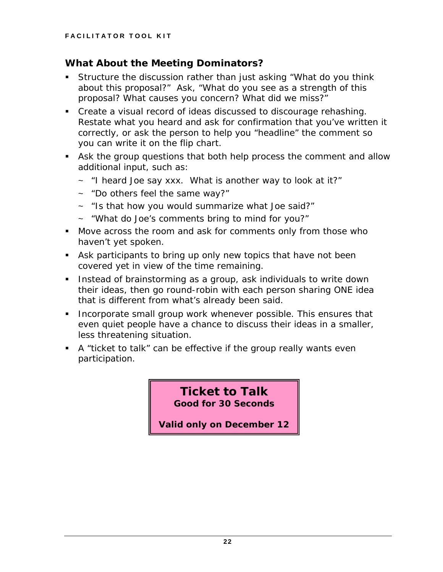## *What About the Meeting Dominators?*

- Structure the discussion rather than just asking "What do you think about this proposal?" Ask, *"What do you see as a strength of this proposal? What causes you concern? What did we miss?"*
- Create a visual record of ideas discussed to discourage rehashing. Restate what you heard and ask for confirmation that you've written it correctly, or ask the person to help you "headline" the comment so you can write it on the flip chart.
- Ask the group questions that both help process the comment and allow additional input, such as:
	- ~ *"I heard Joe say xxx. What is another way to look at it?"*
	- ~ *"Do others feel the same way?"*
	- ~ *"Is that how you would summarize what Joe said?"*
	- ~ *"What do Joe's comments bring to mind for you?"*
- Move across the room and ask for comments only from those who haven't yet spoken.
- Ask participants to bring up only new topics that have not been covered yet in view of the time remaining.
- **Instead of brainstorming as a group, ask individuals to write down** their ideas, then go round-robin with each person sharing ONE idea that is different from what's already been said.
- **Incorporate small group work whenever possible. This ensures that** even quiet people have a chance to discuss their ideas in a smaller, less threatening situation.
- A "ticket to talk" can be effective if the group really wants even participation.

**Ticket to Talk Good for 30 Seconds** 

**Valid only on December 12**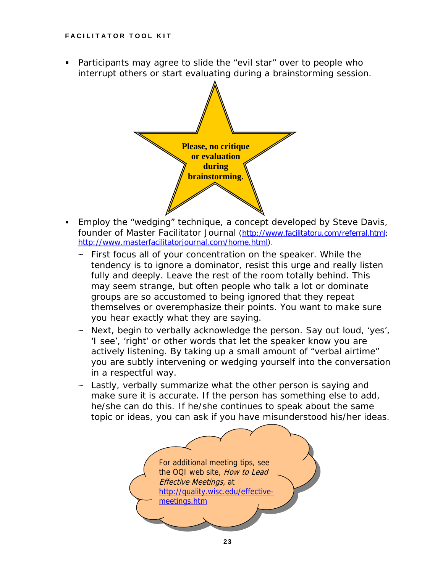Participants may agree to slide the "evil star" over to people who interrupt others or start evaluating during a brainstorming session.



- Employ the "wedging" technique, a concept developed by Steve Davis, founder of *Master Facilitator Journal* ([http://www.facilitatoru.com/referral.html;](http://www.facilitatoru.com/referral.html) [http://www.masterfacilitatorjournal.com/home.html\)](http://www.masterfacilitatorjournal.com/home.html).
	- $\sim$  First focus all of your concentration on the speaker. While the tendency is to ignore a dominator, resist this urge and really listen fully and deeply. Leave the rest of the room totally behind. This may seem strange, but often people who talk a lot or dominate groups are so accustomed to being ignored that they repeat themselves or overemphasize their points. You want to make sure you hear exactly what they are saying.
	- Next, begin to verbally acknowledge the person. Say out loud, 'yes', 'I see', 'right' or other words that let the speaker know you are actively listening. By taking up a small amount of "verbal airtime" you are subtly intervening or wedging yourself into the conversation in a respectful way.
	- $\sim$  Lastly, verbally summarize what the other person is saying and make sure it is accurate. If the person has something else to add, he/she can do this. If he/she continues to speak about the same topic or ideas, you can ask if you have misunderstood his/her ideas.

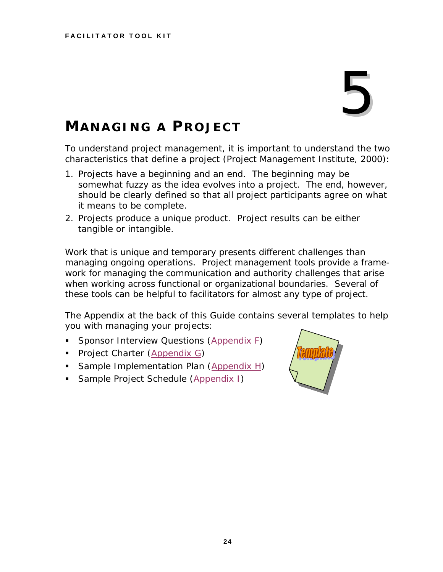# 5

# <span id="page-28-0"></span>**MANAGING A PROJECT**

To understand project management, it is important to understand the two characteristics that define a project (Project Management Institute, 2000):

- 1. Projects have a beginning and an end. The beginning may be somewhat fuzzy as the idea evolves into a project. The end, however, should be clearly defined so that all project participants agree on what it means to be complete.
- 2. Projects produce a unique product. Project results can be either tangible or intangible.

Work that is unique and temporary presents different challenges than managing ongoing operations. Project management tools provide a framework for managing the communication and authority challenges that arise when working across functional or organizational boundaries. Several of these tools can be helpful to facilitators for almost any type of project.

The Appendix at the back of this Guide contains several templates to help you with managing your projects:

- Sponsor Interview Questions ([Appendix F\)](#page-68-0)
- Project Charter [\(Appendix G](#page-69-0))
- Sample Implementation Plan [\(Appendix H](#page-70-0))
- **Sample Project Schedule ([Appendix I\)](#page-71-0)**

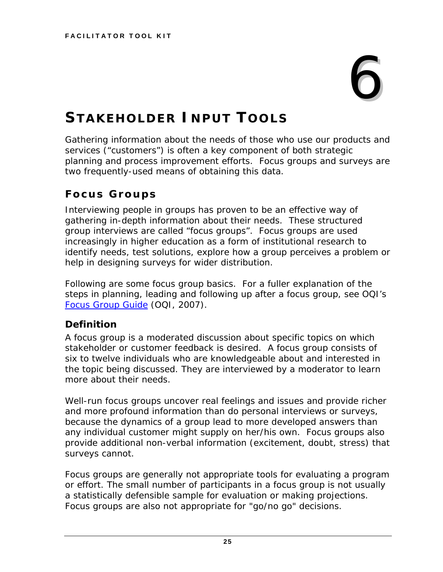# 6

# <span id="page-29-0"></span>**STAKEHOLDER INPUT TOOLS**

Gathering information about the needs of those who use our products and services ("customers") is often a key component of both strategic planning and process improvement efforts. Focus groups and surveys are two frequently-used means of obtaining this data.

## **Focus Groups**

Interviewing people in groups has proven to be an effective way of gathering in-depth information about their needs. These structured group interviews are called "focus groups". Focus groups are used increasingly in higher education as a form of institutional research to identify needs, test solutions, explore how a group perceives a problem or help in designing surveys for wider distribution.

Following are some focus group basics. For a fuller explanation of the steps in planning, leading and following up after a focus group, see OQI's *Focus Group Guide* (OQI, 2007).

## *Definition*

A focus group is a moderated discussion about specific topics on which stakeholder or customer feedback is desired. A focus group consists of six to twelve individuals who are knowledgeable about and interested in the topic being discussed. They are interviewed by a moderator to learn more about their needs.

Well-run focus groups uncover real feelings and issues and provide richer and more profound information than do personal interviews or surveys, because the dynamics of a group lead to more developed answers than any individual customer might supply on her/his own. Focus groups also provide additional non-verbal information (excitement, doubt, stress) that surveys cannot.

Focus groups are generally not appropriate tools for evaluating a program or effort. The small number of participants in a focus group is not usually a statistically defensible sample for evaluation or making projections. Focus groups are also not appropriate for "go/no go" decisions.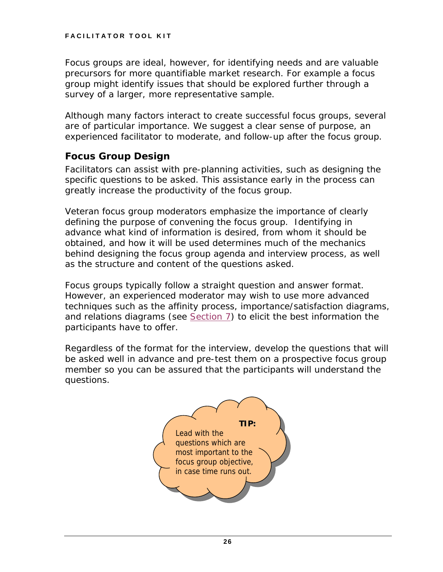Focus groups are ideal, however, for identifying needs and are valuable precursors for more quantifiable market research. For example a focus group might identify issues that should be explored further through a survey of a larger, more representative sample.

Although many factors interact to create successful focus groups, several are of particular importance. We suggest a clear sense of purpose, an experienced facilitator to moderate, and follow-up after the focus group.

## *Focus Group Design*

Facilitators can assist with pre-planning activities, such as designing the specific questions to be asked. This assistance early in the process can greatly increase the productivity of the focus group.

Veteran focus group moderators emphasize the importance of clearly defining the purpose of convening the focus group. Identifying in advance what kind of information is desired, from whom it should be obtained, and how it will be used determines much of the mechanics behind designing the focus group agenda and interview process, as well as the structure and content of the questions asked.

Focus groups typically follow a straight question and answer format. However, an experienced moderator may wish to use more advanced techniques such as the affinity process, importance/satisfaction diagrams, and relations diagrams (see [Section 7](#page-35-0)) to elicit the best information the participants have to offer.

Regardless of the format for the interview, develop the questions that will be asked well in advance and pre-test them on a prospective focus group member so you can be assured that the participants will understand the questions.

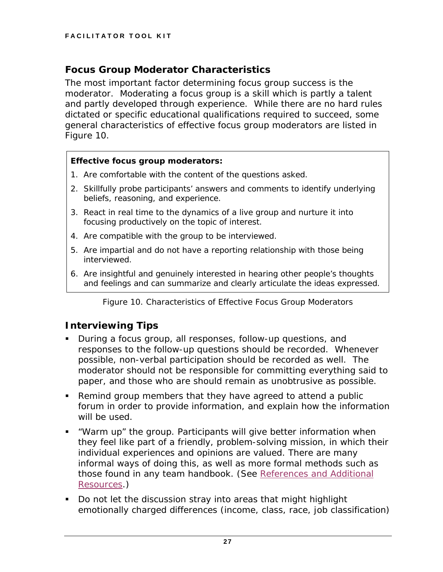## *Focus Group Moderator Characteristics*

The most important factor determining focus group success is the moderator. Moderating a focus group is a skill which is partly a talent and partly developed through experience. While there are no hard rules dictated or specific educational qualifications required to succeed, some general characteristics of effective focus group moderators are listed in Figure 10.

### **Effective focus group moderators:**

- 1. Are comfortable with the content of the questions asked.
- 2. Skillfully probe participants' answers and comments to identify underlying beliefs, reasoning, and experience.
- 3. React in real time to the dynamics of a live group and nurture it into focusing productively on the topic of interest.
- 4. Are compatible with the group to be interviewed.
- 5. Are impartial and do not have a reporting relationship with those being interviewed.
- 6. Are insightful and genuinely interested in hearing other people's thoughts and feelings and can summarize and clearly articulate the ideas expressed.

*Figure 10. Characteristics of Effective Focus Group Moderators* 

## *Interviewing Tips*

- During a focus group, all responses, follow-up questions, and responses to the follow-up questions should be recorded. Whenever possible, non-verbal participation should be recorded as well. The moderator should not be responsible for committing everything said to paper, and those who are should remain as unobtrusive as possible.
- Remind group members that they have agreed to attend a public forum in order to provide information, and explain how the information will be used.
- "Warm up" the group. Participants will give better information when they feel like part of a friendly, problem-solving mission, in which their individual experiences and opinions are valued. There are many informal ways of doing this, as well as more formal methods such as those found in any team handbook. (See [References and Additional](#page-83-0)  [Resources](#page-83-0).)
- Do not let the discussion stray into areas that might highlight emotionally charged differences (income, class, race, job classification)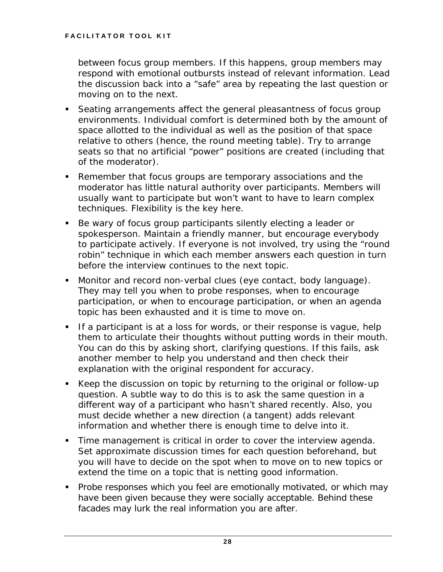between focus group members. If this happens, group members may respond with emotional outbursts instead of relevant information. Lead the discussion back into a "safe" area by repeating the last question or moving on to the next.

- Seating arrangements affect the general pleasantness of focus group environments. Individual comfort is determined both by the amount of space allotted to the individual as well as the position of that space relative to others (hence, the round meeting table). Try to arrange seats so that no artificial "power" positions are created (including that of the moderator).
- Remember that focus groups are temporary associations and the moderator has little natural authority over participants. Members will usually want to participate but won't want to have to learn complex techniques. Flexibility is the key here.
- Be wary of focus group participants silently electing a leader or spokesperson. Maintain a friendly manner, but encourage everybody to participate actively. If everyone is not involved, try using the "round robin" technique in which each member answers each question in turn before the interview continues to the next topic.
- Monitor and record non-verbal clues (eye contact, body language). They may tell you when to probe responses, when to encourage participation, or when to encourage participation, or when an agenda topic has been exhausted and it is time to move on.
- If a participant is at a loss for words, or their response is vague, help them to articulate their thoughts without putting words in their mouth. You can do this by asking short, clarifying questions. If this fails, ask another member to help you understand and then check their explanation with the original respondent for accuracy.
- Keep the discussion on topic by returning to the original or follow-up question. A subtle way to do this is to ask the same question in a different way of a participant who hasn't shared recently. Also, you must decide whether a new direction (a tangent) adds relevant information and whether there is enough time to delve into it.
- Time management is critical in order to cover the interview agenda. Set approximate discussion times for each question beforehand, but you will have to decide on the spot when to move on to new topics or extend the time on a topic that is netting good information.
- **Probe responses which you feel are emotionally motivated, or which may** have been given because they were socially acceptable. Behind these facades may lurk the real information you are after.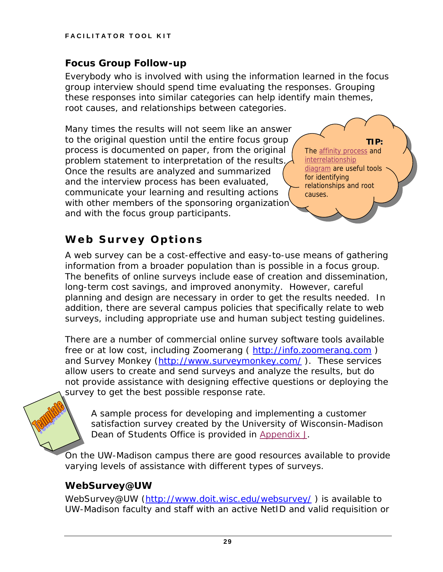## <span id="page-33-0"></span>*Focus Group Follow-up*

Everybody who is involved with using the information learned in the focus group interview should spend time evaluating the responses. Grouping these responses into similar categories can help identify main themes, root causes, and relationships between categories.

Many times the results will not seem like an answer to the original question until the entire focus group process is documented on paper, from the original problem statement to interpretation of the results. Once the results are analyzed and summarized and the interview process has been evaluated, communicate your learning and resulting actions with other members of the sponsoring organization and with the focus group participants.

**TIP:** The affinity process and **interrelationship** diagram are useful tools for identifying relationships and root causes.

## **Web Survey Options**

A web survey can be a cost-effective and easy-to-use means of gathering information from a broader population than is possible in a focus group. The benefits of online surveys include ease of creation and dissemination, long-term cost savings, and improved anonymity. However, careful planning and design are necessary in order to get the results needed. In addition, there are several campus policies that specifically relate to web surveys, including appropriate use and human subject testing guidelines.

There are a number of commercial online survey software tools available free or at low cost, including Zoomerang ( [http://info.zoomerang.com](http://info.zoomerang.com/) ) and Survey Monkey (http://www.surveymonkey.com/). These services allow users to create and send surveys and analyze the results, but do not provide assistance with designing effective questions or deploying the survey to get the best possible response rate.

A sample process for developing and implementing a customer satisfaction survey created by the University of Wisconsin-Madison Dean of Students Office is provided in [Appendix J.](#page-72-0)

On the UW-Madison campus there are good resources available to provide varying levels of assistance with different types of surveys.

## *WebSurvey@UW*

WebSurvey@UW (http://www.doit.wisc.edu/websurvey/) is available to UW-Madison faculty and staff with an active NetID and valid requisition or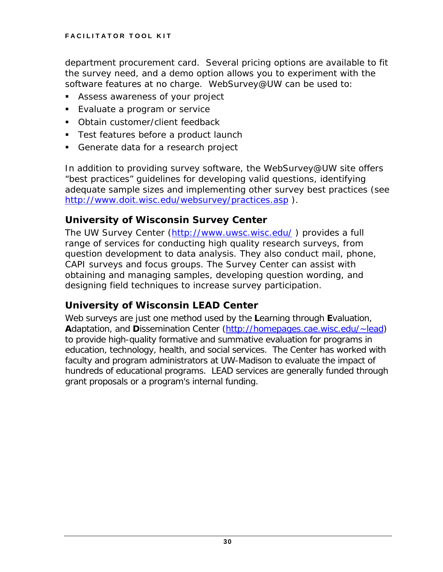department procurement card. Several pricing options are available to fit the survey need, and a demo option allows you to experiment with the software features at no charge. WebSurvey@UW can be used to:

- Assess awareness of your project
- **Evaluate a program or service**
- **Dianuila** Customer/client feedback
- **Test features before a product launch**
- Generate data for a research project

In addition to providing survey software, the WebSurvey@UW site offers "best practices" guidelines for developing valid questions, identifying adequate sample sizes and implementing other survey best practices (see <http://www.doit.wisc.edu/websurvey/practices.asp>).

## *University of Wisconsin Survey Center*

The UW Survey Center [\(http://www.uwsc.wisc.edu/](http://www.uwsc.wisc.edu/) ) provides a full range of services for conducting high quality research surveys, from question development to data analysis. They also conduct mail, phone, CAPI surveys and focus groups. The Survey Center can assist with obtaining and managing samples, developing question wording, and designing field techniques to increase survey participation.

## *University of Wisconsin LEAD Center*

Web surveys are just one method used by the **L**earning through **E**valuation, **A**daptation, and **D**issemination Center [\(http://homepages.cae.wisc.edu/~lead](http://homepages.cae.wisc.edu/%7Elead)) to provide high-quality formative and summative evaluation for programs in education, technology, health, and social services. The Center has worked with faculty and program administrators at UW-Madison to evaluate the impact of hundreds of educational programs. LEAD services are generally funded through grant proposals or a program's internal funding.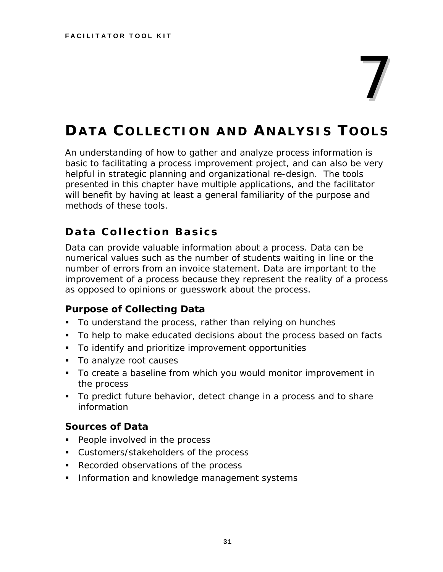# 7

# <span id="page-35-0"></span>**DATA COLLECTION AND ANALYSIS TOOLS**

An understanding of how to gather and analyze process information is basic to facilitating a process improvement project, and can also be very helpful in strategic planning and organizational re-design. The tools presented in this chapter have multiple applications, and the facilitator will benefit by having at least a general familiarity of the purpose and methods of these tools.

## **Data Collection Basics**

Data can provide valuable information about a process. Data can be numerical values such as the number of students waiting in line or the number of errors from an invoice statement. Data are important to the improvement of a process because they represent the reality of a process as opposed to opinions or guesswork about the process.

## *Purpose of Collecting Data*

- To understand the process, rather than relying on hunches
- To help to make educated decisions about the process based on facts
- To identify and prioritize improvement opportunities
- To analyze root causes
- To create a baseline from which you would monitor improvement in the process
- To predict future behavior, detect change in a process and to share information

## *Sources of Data*

- **People involved in the process**
- Customers/stakeholders of the process
- Recorded observations of the process
- **Information and knowledge management systems**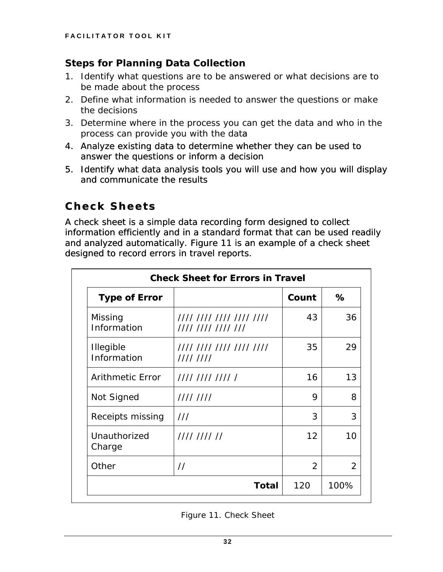#### *Steps for Planning Data Collection*

- 1. Identify what questions are to be answered or what decisions are to be made about the process
- 2. Define what information is needed to answer the questions or make the decisions
- 3. Determine where in the process you can get the data and who in the process can provide you with the data
- 4. Analyze existing data to determine whether they can be used to answer the questions or inform a decision
- 5. Identify what data analysis tools you will use and how you will display and communicate the results

## **Check Sheets**

A check sheet is a simple data recording form designed to collect information efficiently and in a standard format that can be used readily and analyzed automatically. Figure 11 is an example of a check sheet designed to record errors in travel reports.

| <b>Type of Error</b>            |                                                | Count          | %    |
|---------------------------------|------------------------------------------------|----------------|------|
| Missing<br>Information          | //// //// //// //// ////<br>//// //// //// /// | 43             | 36   |
| <b>Illegible</b><br>Information | //// //// //// //// ////<br>11111111           | 35             | 29   |
| <b>Arithmetic Error</b>         | //// //// //// /                               | 16             | 13   |
| Not Signed                      | 11111111                                       | 9              | 8    |
| Receipts missing                | 111                                            | 3              | 3    |
| Unauthorized<br>Charge          | 11111111111                                    | 12             | 10   |
| Other                           | $\frac{1}{2}$                                  | $\overline{2}$ | 2    |
|                                 | Total                                          | 120            | 100% |

*Figure 11. Check Sheet*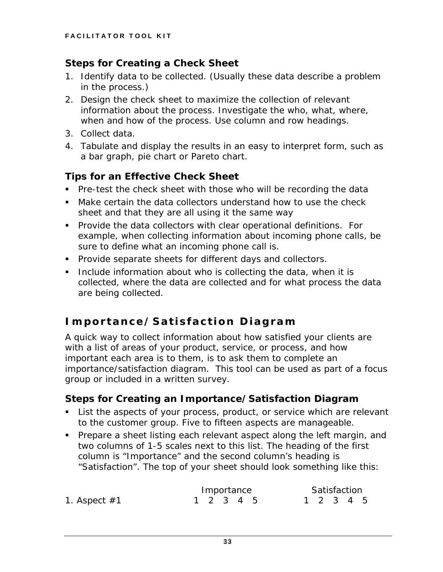#### *Steps for Creating a Check Sheet*

- 1. Identify data to be collected. (Usually these data describe a problem in the process.)
- 2. Design the check sheet to maximize the collection of relevant information about the process. Investigate the who, what, where, when and how of the process. Use column and row headings.
- 3. Collect data.
- 4. Tabulate and display the results in an easy to interpret form, such as a bar graph, pie chart or Pareto chart.

### *Tips for an Effective Check Sheet*

- Pre-test the check sheet with those who will be recording the data
- Make certain the data collectors understand how to use the check sheet and that they are all using it the same way
- Provide the data collectors with clear operational definitions. For example, when collecting information about incoming phone calls, be sure to define what an incoming phone call is.
- **Provide separate sheets for different days and collectors.**
- Include information about who is collecting the data, when it is collected, where the data are collected and for what process the data are being collected.

## **Importance/Satisfaction Diagram**

A quick way to collect information about how satisfied your clients are with a list of areas of your product, service, or process, and how important each area is to them, is to ask them to complete an importance/satisfaction diagram. This tool can be used as part of a focus group or included in a written survey.

## *Steps for Creating an Importance/Satisfaction Diagram*

- **List the aspects of your process, product, or service which are relevant** to the customer group. Five to fifteen aspects are manageable.
- **Prepare a sheet listing each relevant aspect along the left margin, and** two columns of 1-5 scales next to this list. The heading of the first column is "Importance" and the second column's heading is "Satisfaction". The top of your sheet should look something like this:

|                | Importance |  |  | Satisfaction |  |  |
|----------------|------------|--|--|--------------|--|--|
| 1. Aspect $#1$ | 1 2 3 4 5  |  |  | 1 2 3 4 5    |  |  |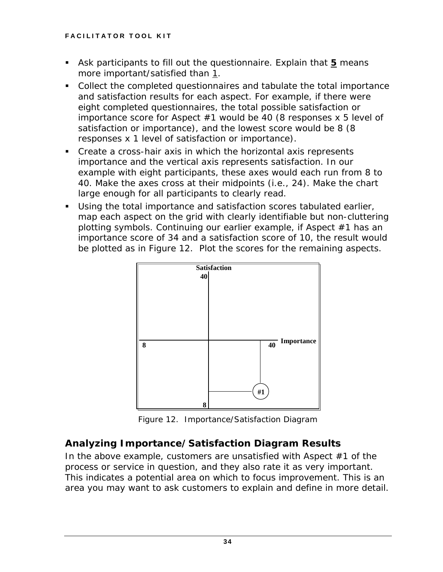- Ask participants to fill out the questionnaire. Explain that **5** means more important/satisfied than 1.
- Collect the completed questionnaires and tabulate the total importance and satisfaction results for each aspect. For example, if there were eight completed questionnaires, the total possible satisfaction or importance score for Aspect  $#1$  would be 40 (8 responses x 5 level of satisfaction or importance), and the lowest score would be 8 (8 responses x 1 level of satisfaction or importance).
- Create a cross-hair axis in which the horizontal axis represents importance and the vertical axis represents satisfaction. In our example with eight participants, these axes would each run from 8 to 40. Make the axes cross at their midpoints (i.e., 24). Make the chart large enough for all participants to clearly read.
- Using the total importance and satisfaction scores tabulated earlier, map each aspect on the grid with clearly identifiable but non-cluttering plotting symbols. Continuing our earlier example, if Aspect #1 has an importance score of 34 and a satisfaction score of 10, the result would be plotted as in Figure 12. Plot the scores for the remaining aspects.



*Figure 12. Importance/Satisfaction Diagram* 

## *Analyzing Importance/Satisfaction Diagram Results*

In the above example, customers are unsatisfied with Aspect #1 of the process or service in question, and they also rate it as very important. This indicates a potential area on which to focus improvement. This is an area you may want to ask customers to explain and define in more detail.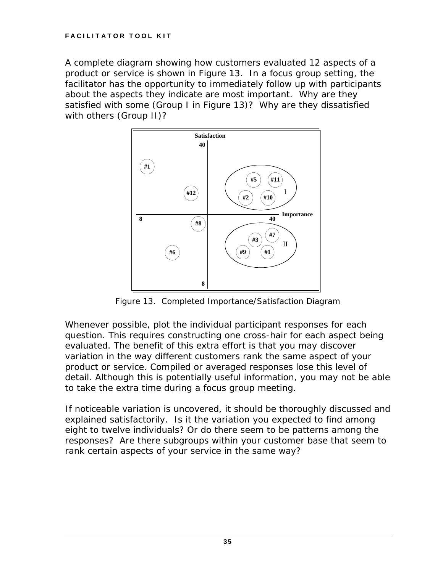A complete diagram showing how customers evaluated 12 aspects of a product or service is shown in Figure 13. In a focus group setting, the facilitator has the opportunity to immediately follow up with participants about the aspects they indicate are most important. Why are they satisfied with some (Group I in Figure 13)? Why are they dissatisfied with others (Group II)?



*Figure 13. Completed Importance/Satisfaction Diagram* 

Whenever possible, plot the individual participant responses for each question. This requires constructing one cross-hair for each aspect being evaluated. The benefit of this extra effort is that you may discover variation in the way different customers rank the same aspect of your product or service. Compiled or averaged responses lose this level of detail. Although this is potentially useful information, you may not be able to take the extra time during a focus group meeting.

If noticeable variation is uncovered, it should be thoroughly discussed and explained satisfactorily. Is it the variation you expected to find among eight to twelve individuals? Or do there seem to be patterns among the responses? Are there subgroups within your customer base that seem to rank certain aspects of your service in the same way?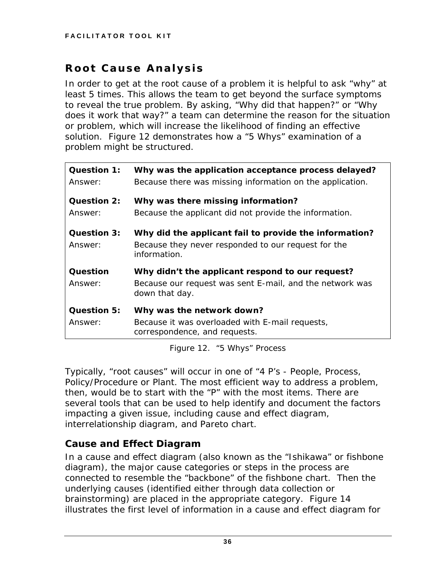## **Root Cause Analysis**

In order to get at the root cause of a problem it is helpful to ask "why" at least 5 times. This allows the team to get beyond the surface symptoms to reveal the true problem. By asking, "Why did that happen?" or "Why does it work that way?" a team can determine the reason for the situation or problem, which will increase the likelihood of finding an effective solution. Figure 12 demonstrates how a *"5 Whys"* examination of a problem might be structured.

| Question 1:<br>Answer:        | Why was the application acceptance process delayed?<br>Because there was missing information on the application.              |
|-------------------------------|-------------------------------------------------------------------------------------------------------------------------------|
| <b>Question 2:</b><br>Answer: | Why was there missing information?<br>Because the applicant did not provide the information.                                  |
| Question 3:<br>Answer:        | Why did the applicant fail to provide the information?<br>Because they never responded to our request for the<br>information. |
| Question                      | Why didn't the applicant respond to our request?                                                                              |
| Answer:                       | Because our request was sent E-mail, and the network was<br>down that day.                                                    |
| <b>Question 5:</b>            | Why was the network down?                                                                                                     |
| Answer:                       | Because it was overloaded with E-mail requests,<br>correspondence, and requests.                                              |

*Figure 12.* "5 Whys" Process

Typically, "root causes" will occur in one of "4 P's - People, Process, Policy/Procedure or Plant. The most efficient way to address a problem, then, would be to start with the "P" with the most items. There are several tools that can be used to help identify and document the factors impacting a given issue, including cause and effect diagram, interrelationship diagram, and Pareto chart.

#### *Cause and Effect Diagram*

In a cause and effect diagram (also known as the "Ishikawa" or fishbone diagram), the major cause categories or steps in the process are connected to resemble the "backbone" of the fishbone chart. Then the underlying causes (identified either through data collection or brainstorming) are placed in the appropriate category. Figure 14 illustrates the first level of information in a cause and effect diagram for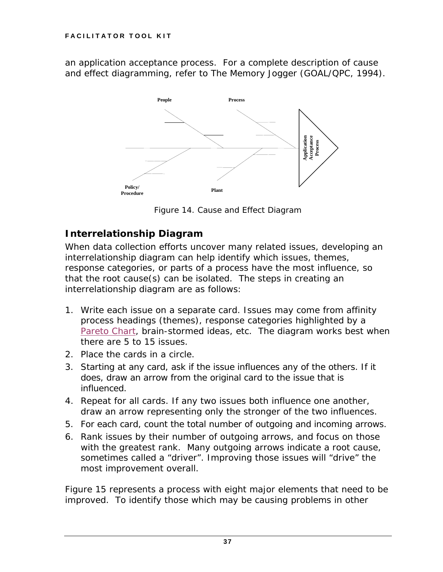<span id="page-41-0"></span>an application acceptance process. For a complete description of cause and effect diagramming, refer to *The Memory Jogger* (GOAL/QPC, 1994).



*Figure 14. Cause and Effect Diagram* 

## *Interrelationship Diagram*

When data collection efforts uncover many related issues, developing an interrelationship diagram can help identify which issues, themes, response categories, or parts of a process have the most influence, so that the root cause(s) can be isolated. The steps in creating an interrelationship diagram are as follows:

- 1. Write each issue on a separate card. Issues may come from affinity process headings (themes), response categories highlighted by a [Pareto Chart,](#page-42-0) brain-stormed ideas, etc. The diagram works best when there are 5 to 15 issues.
- 2. Place the cards in a circle.
- 3. Starting at any card, ask if the issue influences any of the others. If it does, draw an arrow from the original card to the issue that is influenced.
- 4. Repeat for all cards. If any two issues both influence one another, draw an arrow representing only the stronger of the two influences.
- 5. For each card, count the total number of outgoing and incoming arrows.
- 6. Rank issues by their number of outgoing arrows, and focus on those with the greatest rank. Many outgoing arrows indicate a root cause, sometimes called a "driver". Improving those issues will "drive" the most improvement overall.

Figure 15 represents a process with eight major elements that need to be improved. To identify those which may be causing problems in other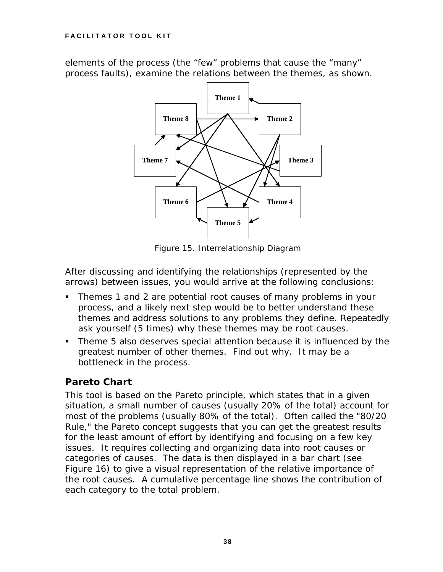<span id="page-42-0"></span>elements of the process (the "few" problems that cause the "many" process faults), examine the relations between the themes, as shown.



*Figure 15. Interrelationship Diagram* 

After discussing and identifying the relationships (represented by the arrows) between issues, you would arrive at the following conclusions:

- Themes 1 and 2 are potential root causes of many problems in your process, and a likely next step would be to better understand these themes and address solutions to any problems they define. Repeatedly ask yourself (5 times) why these themes may be root causes.
- Theme 5 also deserves special attention because it is influenced by the greatest number of other themes. Find out why. It may be a bottleneck in the process.

#### *Pareto Chart*

This tool is based on the Pareto principle, which states that in a given situation, a small number of causes (usually 20% of the total) account for most of the problems (usually 80% of the total). Often called the "80/20 Rule," the Pareto concept suggests that you can get the greatest results for the least amount of effort by identifying and focusing on a few key issues. It requires collecting and organizing data into root causes or categories of causes. The data is then displayed in a bar chart (see Figure 16) to give a visual representation of the relative importance of the root causes. A cumulative percentage line shows the contribution of each category to the total problem.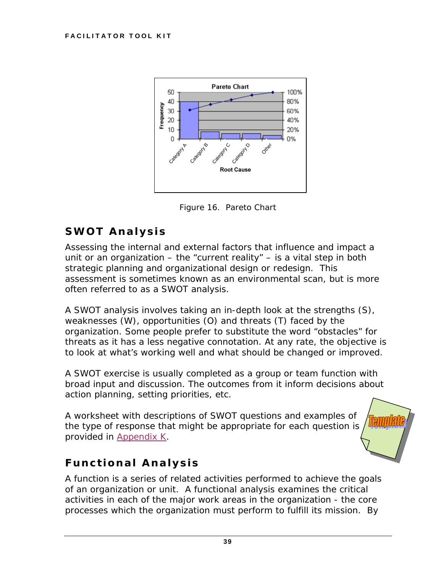

*Figure 16. Pareto Chart* 

## **SWOT Analysis**

Assessing the internal and external factors that influence and impact a unit or an organization  $-$  the "current reality"  $-$  is a vital step in both strategic planning and organizational design or redesign. This assessment is sometimes known as an *environmental scan*, but is more often referred to as a *SWOT analysis*.

A SWOT analysis involves taking an in-depth look at the strengths (S), weaknesses (W), opportunities (O) and threats (T) faced by the organization. Some people prefer to substitute the word "obstacles" for threats as it has a less negative connotation. At any rate, the objective is to look at what's working well and what should be changed or improved.

A SWOT exercise is usually completed as a group or team function with broad input and discussion. The outcomes from it inform decisions about action planning, setting priorities, etc.

A worksheet with descriptions of SWOT questions and examples of the type of response that might be appropriate for each question is provided in [Appendix K.](#page-73-0)



## **Functional Analysis**

A function is a series of related activities performed to achieve the goals of an organization or unit. A functional analysis examines the critical activities in each of the major work areas in the organization - the core processes which the organization must perform to fulfill its mission. By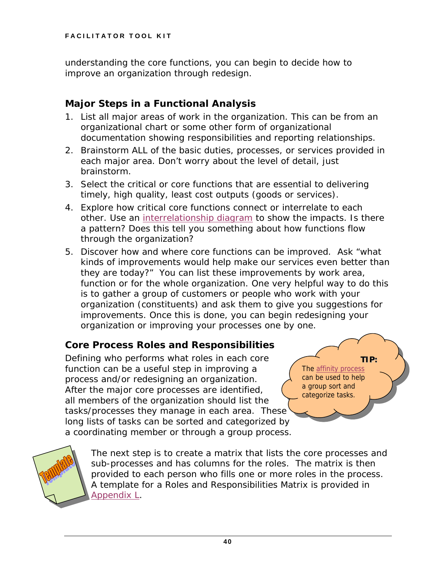understanding the core functions, you can begin to decide how to improve an organization through redesign.

#### *Major Steps in a Functional Analysis*

- 1. List all major areas of work in the organization. This can be from an organizational chart or some other form of organizational documentation showing responsibilities and reporting relationships.
- 2. Brainstorm ALL of the basic duties, processes, or services provided in each major area. Don't worry about the level of detail, just brainstorm.
- 3. Select the critical or core functions that are essential to delivering timely, high quality, least cost outputs (goods or services).
- 4. Explore how critical core functions connect or interrelate to each other. Use an [interrelationship diagram](#page-41-0) to show the impacts. Is there a pattern? Does this tell you something about how functions flow through the organization?
- 5. Discover how and where core functions can be improved. Ask "what kinds of improvements would help make our services even better than they are today?" You can list these improvements by work area, function or for the whole organization. One very helpful way to do this is to gather a group of customers or people who work with your organization (constituents) and ask them to give you suggestions for improvements. Once this is done, you can begin redesigning your organization or improving your processes one by one.

#### *Core Process Roles and Responsibilities*

Defining who performs what roles in each core function can be a useful step in improving a process and/or redesigning an organization. After the major core processes are identified, all members of the organization should list the tasks/processes they manage in each area. These long lists of tasks can be sorted and categorized by a coordinating member or through a group process.

**TIP:** The affinity process can be used to help a group sort and categorize tasks.



The next step is to create a matrix that lists the core processes and sub-processes and has columns for the roles. The matrix is then provided to each person who fills one or more roles in the process. A template for a Roles and Responsibilities Matrix is provided in [Appendix L.](#page-74-0)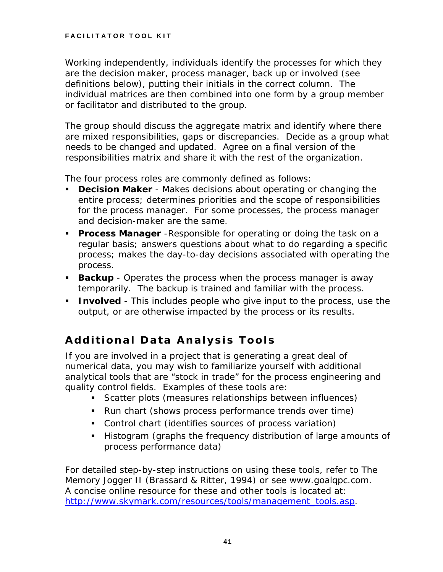Working independently, individuals identify the processes for which they are the decision maker, process manager, back up or involved (see definitions below), putting their initials in the correct column. The individual matrices are then combined into one form by a group member or facilitator and distributed to the group.

The group should discuss the aggregate matrix and identify where there are mixed responsibilities, gaps or discrepancies. Decide as a group what needs to be changed and updated. Agree on a final version of the responsibilities matrix and share it with the rest of the organization.

The four process roles are commonly defined as follows:

- **Decision Maker** Makes decisions about operating or changing the entire process; determines priorities and the scope of responsibilities for the process manager. For some processes, the process manager and decision-maker are the same.
- **Process Manager** -Responsible for operating or doing the task on a regular basis; answers questions about what to do regarding a specific process; makes the day-to-day decisions associated with operating the process.
- **Backup** Operates the process when the process manager is away temporarily. The backup is trained and familiar with the process.
- **Involved** This includes people who give input to the process, use the output, or are otherwise impacted by the process or its results.

## **Additional Data Analysis Tools**

If you are involved in a project that is generating a great deal of numerical data, you may wish to familiarize yourself with additional analytical tools that are "stock in trade" for the process engineering and quality control fields. Examples of these tools are:

- Scatter plots (measures relationships between influences)
- Run chart (shows process performance trends over time)
- Control chart (identifies sources of process variation)
- Histogram (graphs the frequency distribution of large amounts of process performance data)

For detailed step-by-step instructions on using these tools, refer to *The Memory Jogger II* (Brassard & Ritter, 1994) or see www.goalqpc.com. A concise online resource for these and other tools is located at: [http://www.skymark.com/resources/tools/management\\_tools.asp](http://www.skymark.com/resources/tools/management_tools.asp).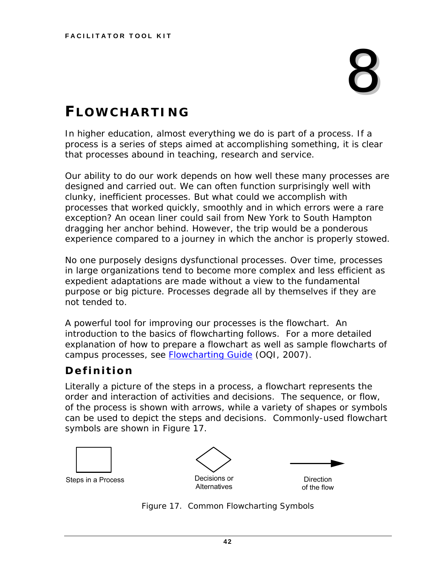# 8

## **FLOWCHARTING**

In higher education, almost everything we do is part of a process. If a process is a series of steps aimed at accomplishing something, it is clear that processes abound in teaching, research and service.

Our ability to do our work depends on how well these many processes are designed and carried out. We can often function surprisingly well with clunky, inefficient processes. But what could we accomplish with processes that worked quickly, smoothly and in which errors were a rare exception? An ocean liner could sail from New York to South Hampton dragging her anchor behind. However, the trip would be a ponderous experience compared to a journey in which the anchor is properly stowed.

No one purposely designs dysfunctional processes. Over time, processes in large organizations tend to become more complex and less efficient as expedient adaptations are made without a view to the fundamental purpose or big picture. Processes degrade all by themselves if they are not tended to.

A powerful tool for improving our processes is the flowchart. An introduction to the basics of flowcharting follows. For a more detailed explanation of how to prepare a flowchart as well as sample flowcharts of campus processes, see **Flowcharting Guide** (OQI, 2007).

## **Definition**

Literally a picture of the steps in a process, a flowchart represents the order and interaction of activities and decisions. The sequence, or flow, of the process is shown with arrows, while a variety of shapes or symbols can be used to depict the steps and decisions. Commonly-used flowchart symbols are shown in Figure 17.



*Figure 17. Common Flowcharting Symbols*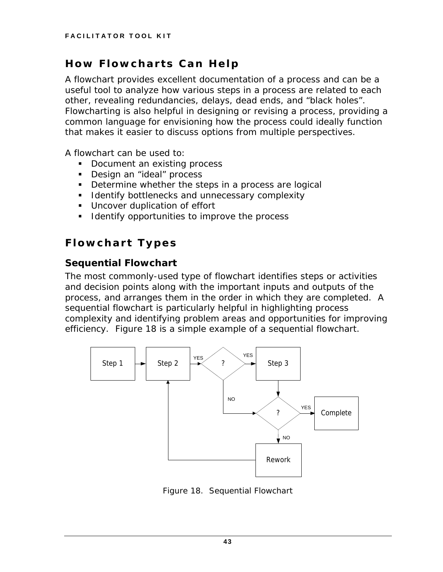## **How Flowcharts Can Help**

A flowchart provides excellent documentation of a process and can be a useful tool to analyze how various steps in a process are related to each other, revealing redundancies, delays, dead ends, and "black holes". Flowcharting is also helpful in designing or revising a process, providing a common language for envisioning how the process could ideally function that makes it easier to discuss options from multiple perspectives.

A flowchart can be used to:

- Document an existing process
- **Design an "ideal" process**
- Determine whether the steps in a process are logical
- **I** Identify bottlenecks and unnecessary complexity
- **Uncover duplication of effort**
- **I** Identify opportunities to improve the process

## **Flowchart Types**

#### *Sequential Flowchart*

The most commonly-used type of flowchart identifies steps or activities and decision points along with the important inputs and outputs of the process, and arranges them in the order in which they are completed. A sequential flowchart is particularly helpful in highlighting process complexity and identifying problem areas and opportunities for improving efficiency. Figure 18 is a simple example of a sequential flowchart.



*Figure 18. Sequential Flowchart*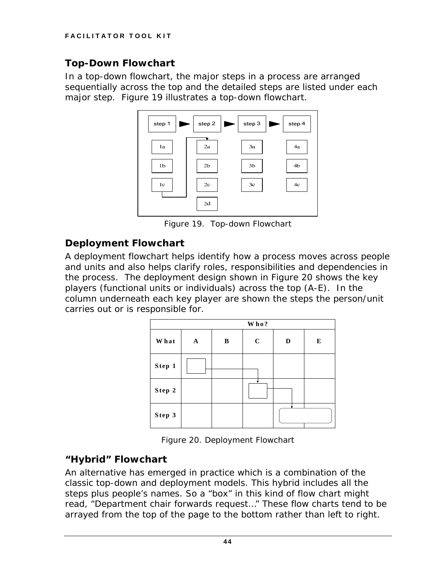#### *Top-Down Flowchart*

In a top-down flowchart, the major steps in a process are arranged sequentially across the top and the detailed steps are listed under each major step. Figure 19 illustrates a top-down flowchart.



*Figure 19. Top-down Flowchart* 

#### *Deployment Flowchart*

A deployment flowchart helps identify how a process moves across people and units and also helps clarify roles, responsibilities and dependencies in the process. The deployment design shown in Figure 20 shows the key players (functional units or individuals) across the top (A-E). In the column underneath each key player are shown the steps the person/unit carries out or is responsible for.

| Who?        |   |   |         |   |   |
|-------------|---|---|---------|---|---|
| <b>What</b> | A | B | $\bf C$ | D | E |
| Step 1      |   |   |         |   |   |
| Step 2      |   |   |         |   |   |
| Step 3      |   |   |         |   |   |

*Figure 20. Deployment Flowchart* 

#### *"Hybrid" Flowchart*

An alternative has emerged in practice which is a combination of the classic top-down and deployment models. This hybrid includes all the steps plus people's names. So a "box" in this kind of flow chart might read, "Department chair forwards request…" These flow charts tend to be arrayed from the top of the page to the bottom rather than left to right.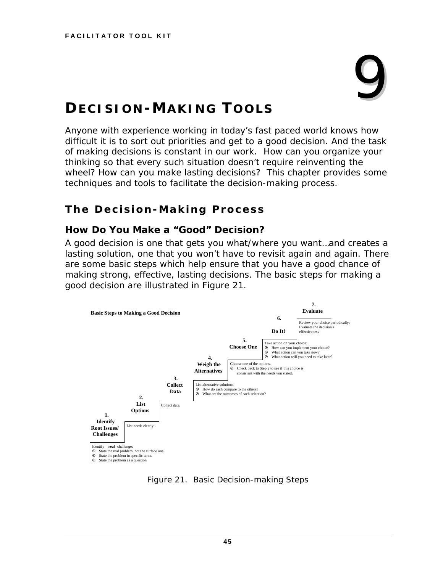# 9

## **DECISION-MAKING TOOLS**

Anyone with experience working in today's fast paced world knows how difficult it is to sort out priorities and get to a good decision. And the task of making decisions is constant in our work. How can you organize your thinking so that every such situation doesn't require reinventing the wheel? How can you make lasting decisions? This chapter provides some techniques and tools to facilitate the decision-making process.

## **The Decision-Making Process**

#### *How Do You Make a "Good" Decision?*

A good decision is one that gets you what/where you want…and creates a lasting solution, one that you won't have to revisit again and again. There are some basic steps which help ensure that you have a good chance of making strong, effective, lasting decisions. The basic steps for making a good decision are illustrated in Figure 21.



*Figure 21. Basic Decision-making Steps*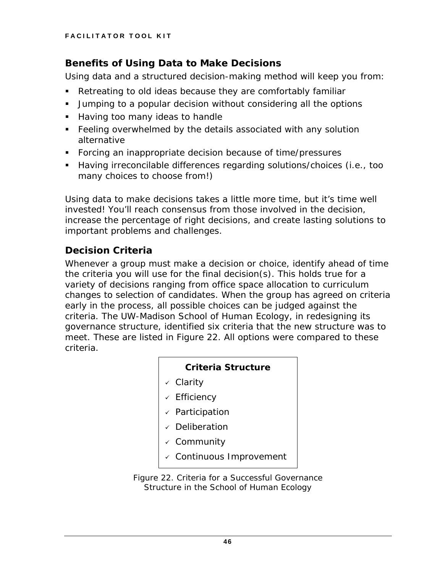#### *Benefits of Using Data to Make Decisions*

Using data and a structured decision-making method will keep you from:

- Retreating to old ideas because they are comfortably familiar
- Jumping to a popular decision without considering all the options
- **Having too many ideas to handle**
- **Feeling overwhelmed by the details associated with any solution** alternative
- Forcing an inappropriate decision because of time/pressures
- Having irreconcilable differences regarding solutions/choices (i.e., too many choices to choose from!)

Using data to make decisions takes a little more time, but it's time well invested! You'll reach consensus from those involved in the decision, increase the percentage of right decisions, and create lasting solutions to important problems and challenges.

### *Decision Criteria*

Whenever a group must make a decision or choice, identify ahead of time the criteria you will use for the final decision(s). This holds true for a variety of decisions ranging from office space allocation to curriculum changes to selection of candidates. When the group has agreed on criteria early in the process, all possible choices can be judged against the criteria. The UW-Madison School of Human Ecology, in redesigning its governance structure, identified six criteria that the new structure was to meet. These are listed in Figure 22. All options were compared to these criteria.

#### **Criteria Structure**

- $\checkmark$  Clarity
- $\sqrt{ }$  Efficiency
- $\checkmark$  Participation
- $\sqrt{ }$  Deliberation
- $\sqrt{2}$  Community
- $\checkmark$  Continuous Improvement

*Figure 22. Criteria for a Successful Governance Structure in the School of Human Ecology*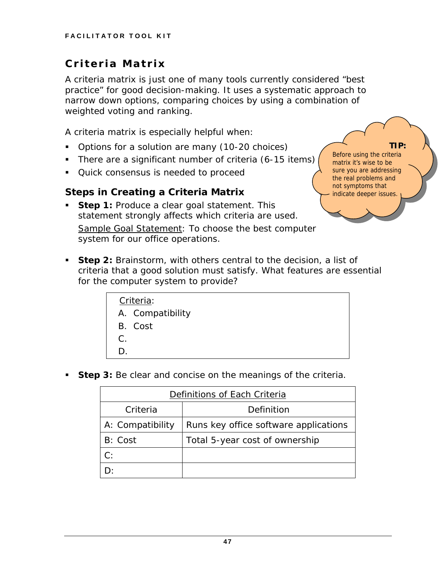## **Criteria Matrix**

A criteria matrix is just one of many tools currently considered "best practice" for good decision-making. It uses a systematic approach to narrow down options, comparing choices by using a combination of weighted voting and ranking.

**TIP:**

Before using the criteria matrix it's wise to be sure you are addressing the real problems and not symptoms that indicate deeper issues.

A criteria matrix is especially helpful when:

- Options for a solution are many (10-20 choices)
- There are a significant number of criteria (6-15 items)
- **Quick consensus is needed to proceed**

#### *Steps in Creating a Criteria Matrix*

- **Step 1:** Produce a clear goal statement. This statement strongly affects which criteria are used. Sample Goal Statement: *To choose the best computer system for our office operations.*
- **Step 2:** Brainstorm, with others central to the decision, a list of criteria that a good solution must satisfy. *What features are essential for the computer system to provide?*

|       | Criteria:        |
|-------|------------------|
|       | A. Compatibility |
|       | B. Cost          |
| $C$ . |                  |
| D     |                  |

**Step 3:** Be clear and concise on the meanings of the criteria.

| Definitions of Each Criteria |                                       |  |  |  |
|------------------------------|---------------------------------------|--|--|--|
| Criteria                     | Definition                            |  |  |  |
| A: <i>Compatibility</i>      | Runs key office software applications |  |  |  |
| B: Cost                      | Total 5-year cost of ownership        |  |  |  |
| C:                           |                                       |  |  |  |
|                              |                                       |  |  |  |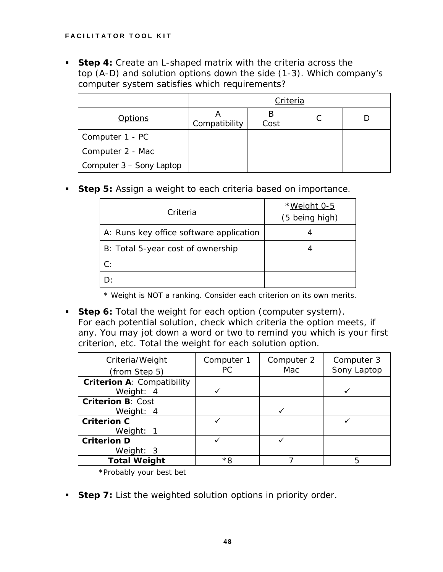**Step 4:** Create an L-shaped matrix with the criteria across the top (A-D) and solution options down the side (1-3). *Which company's computer system satisfies which requirements?* 

|                          | Criteria      |      |   |  |  |
|--------------------------|---------------|------|---|--|--|
| <u>Options</u>           | Compatibility | Cost | C |  |  |
| Computer 1 - PC          |               |      |   |  |  |
| Computer 2 - Mac         |               |      |   |  |  |
| Computer 3 – Sony Laptop |               |      |   |  |  |

**Step 5:** Assign a weight to each criteria based on importance.

| Criteria                                | *Weight 0-5<br>(5 being high) |
|-----------------------------------------|-------------------------------|
| A: Runs key office software application |                               |
| B: Total 5-year cost of ownership       |                               |
| C:                                      |                               |
|                                         |                               |

\* Weight is NOT a ranking. Consider each criterion on its own merits.

 **Step 6:** Total the weight for each option (*computer system*). For each potential solution, check which criteria the option meets, if any. You may jot down a word or two to remind you which is your first criterion, etc. Total the weight for each solution option.

| Criteria/Weight<br>(from Step 5)                 | Computer 1<br>РC | Computer 2<br>Mac | Computer 3<br>Sony Laptop |
|--------------------------------------------------|------------------|-------------------|---------------------------|
| <b>Criterion A: Compatibility</b><br>Weight: $4$ |                  |                   |                           |
| <b>Criterion B: Cost</b><br>Weight: $4$          |                  |                   |                           |
| <b>Criterion C</b><br>Weight: 1                  |                  |                   |                           |
| <b>Criterion D</b><br>Weight: $3$                |                  |                   |                           |
| <b>Total Weight</b>                              | *8               |                   | 5                         |

\*Probably your best bet

**Step 7:** List the weighted solution options in priority order.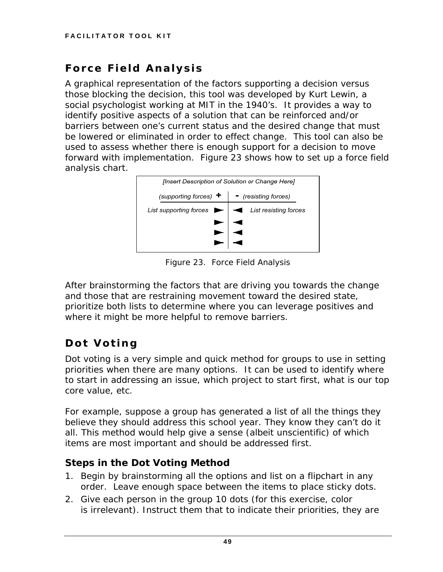## **Force Field Analysis**

A graphical representation of the factors supporting a decision versus those blocking the decision, this tool was developed by Kurt Lewin, a social psychologist working at MIT in the 1940's. It provides a way to identify positive aspects of a solution that can be reinforced and/or barriers between one's current status and the desired change that must be lowered or eliminated in order to effect change. This tool can also be used to assess whether there is enough support for a decision to move forward with implementation. Figure 23 shows how to set up a force field analysis chart.



*Figure 23. Force Field Analysis* 

After brainstorming the factors that are driving you towards the change and those that are restraining movement toward the desired state, prioritize both lists to determine where you can leverage positives and where it might be more helpful to remove barriers.

## **Dot Voting**

Dot voting is a very simple and quick method for groups to use in setting priorities when there are many options. It can be used to identify where to start in addressing an issue, which project to start first, what is our top core value, etc.

For example, suppose a group has generated a list of all the things they believe they should address this school year. They know they can't do it all. This method would help give a sense (albeit unscientific) of which items are most important and should be addressed first.

## *Steps in the Dot Voting Method*

- 1. Begin by brainstorming all the options and list on a flipchart in any order. Leave enough space between the items to place sticky dots.
- 2. Give each person in the group 10 dots (for this exercise, color is irrelevant). Instruct them that to indicate their priorities, they are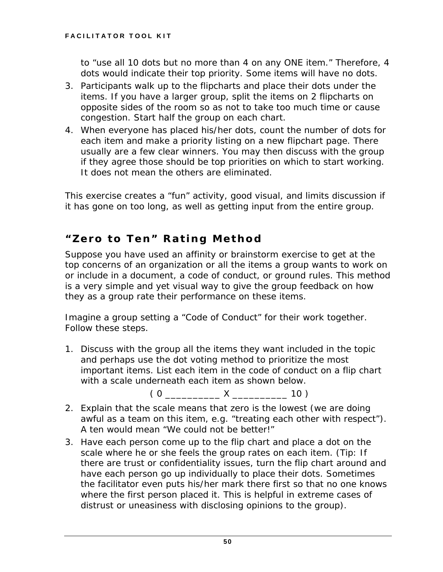to "use all 10 dots but no more than 4 on any ONE item." Therefore, 4 dots would indicate their top priority. Some items will have no dots.

- 3. Participants walk up to the flipcharts and place their dots under the items. If you have a larger group, split the items on 2 flipcharts on opposite sides of the room so as not to take too much time or cause congestion. Start half the group on each chart.
- 4. When everyone has placed his/her dots, count the number of dots for each item and make a priority listing on a new flipchart page. There usually are a few clear winners. You may then discuss with the group if they agree those should be top priorities on which to start working. It does not mean the others are eliminated.

This exercise creates a "fun" activity, good visual, and limits discussion if it has gone on too long, as well as getting input from the entire group.

## **"Zero to Ten" Rating Method**

Suppose you have used an affinity or brainstorm exercise to get at the top concerns of an organization or all the items a group wants to work on or include in a document, a code of conduct, or ground rules. This method is a very simple and yet visual way to give the group feedback on how they as a group rate their performance on these items.

Imagine a group setting a "Code of Conduct" for their work together. Follow these steps.

1. Discuss with the group all the items they want included in the topic and perhaps use the dot voting method to prioritize the most important items. List each item in the code of conduct on a flip chart with a scale underneath each item as shown below.

 $(0 \t X \t 10)$ 

- 2. Explain that the scale means that zero is the lowest (we are doing awful as a team on this item, e.g. "treating each other with respect"). A ten would mean "We could not be better!"
- 3. Have each person come up to the flip chart and place a dot on the scale where he or she feels the group rates on each item. (Tip: If there are trust or confidentiality issues, turn the flip chart around and have each person go up individually to place their dots. Sometimes the facilitator even puts his/her mark there first so that no one knows where the first person placed it. This is helpful in extreme cases of distrust or uneasiness with disclosing opinions to the group).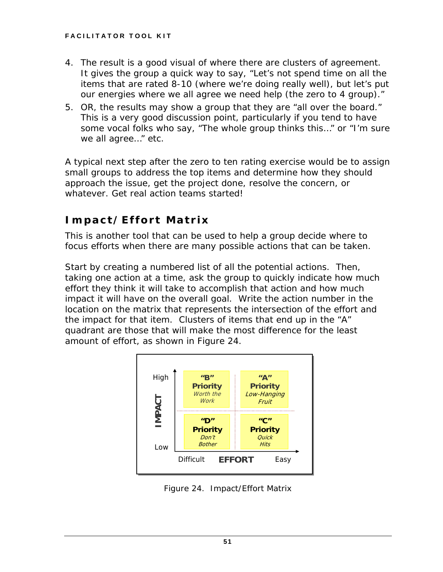- 4. The result is a good visual of where there are clusters of agreement. It gives the group a quick way to say, "Let's not spend time on all the items that are rated 8-10 (where we're doing really well), but let's put our energies where we all agree we need help (the zero to 4 group)."
- 5. OR, the results may show a group that they are "all over the board." This is a very good discussion point, particularly if you tend to have some vocal folks who say, "The whole group thinks this…" or "I'm sure we all agree…" etc.

A typical next step after the zero to ten rating exercise would be to assign small groups to address the top items and determine how they should approach the issue, get the project done, resolve the concern, or whatever. Get real action teams started!

## **Impact/Effort Matrix**

This is another tool that can be used to help a group decide where to focus efforts when there are many possible actions that can be taken.

Start by creating a numbered list of all the potential actions. Then, taking one action at a time, ask the group to quickly indicate how much effort they think it will take to accomplish that action and how much impact it will have on the overall goal. Write the action number in the location on the matrix that represents the intersection of the effort and the impact for that item. Clusters of items that end up in the "A" quadrant are those that will make the most difference for the least amount of effort, as shown in Figure 24.



*Figure 24. Impact/Effort Matrix*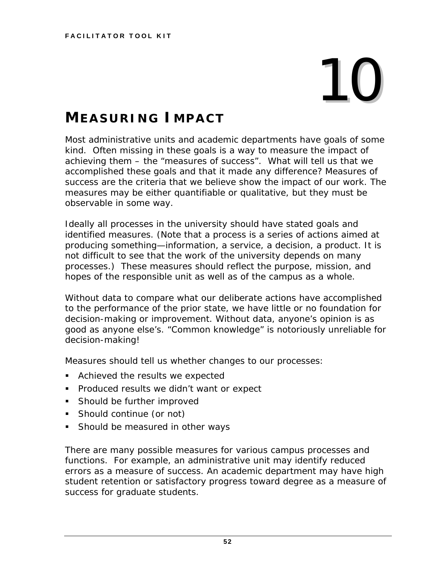# 10

## **MEASURING IMPACT**

Most administrative units and academic departments have goals of some kind. Often missing in these goals is a way to measure the impact of achieving them – the "measures of success". What will tell us that we accomplished these goals and that it made any difference? Measures of success are the criteria that we believe show the impact of our work. The measures may be either quantifiable or qualitative, but they must be observable in some way.

Ideally all processes in the university should have stated goals and identified measures. (Note that a process is a series of actions aimed at producing something—information, a service, a decision, a product. It is not difficult to see that the work of the university depends on many processes.) These measures should reflect the purpose, mission, and hopes of the responsible unit as well as of the campus as a whole.

Without data to compare what our deliberate actions have accomplished to the performance of the prior state, we have little or no foundation for decision-making or improvement. Without data, anyone's opinion is as good as anyone else's. "Common knowledge" is notoriously unreliable for decision-making!

Measures should tell us whether changes to our processes:

- **EXECUTE:** Achieved the results we expected
- **Produced results we didn't want or expect**
- **Should be further improved**
- **Should continue (or not)**
- **Should be measured in other ways**

There are many possible measures for various campus processes and functions. For example, an administrative unit may identify reduced errors as a measure of success. An academic department may have high student retention or satisfactory progress toward degree as a measure of success for graduate students.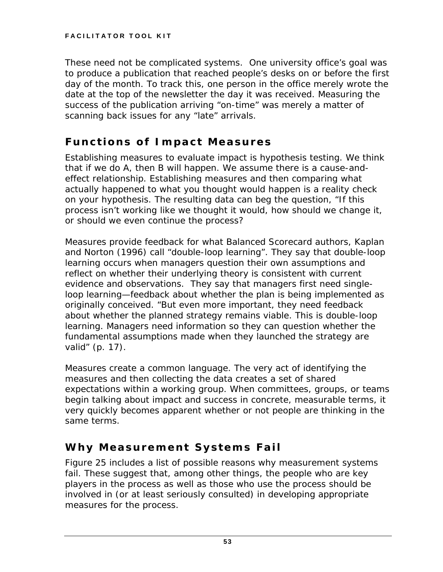These need not be complicated systems. One university office's goal was to produce a publication that reached people's desks on or before the first day of the month. To track this, one person in the office merely wrote the date at the top of the newsletter the day it was received. Measuring the success of the publication arriving "on-time" was merely a matter of scanning back issues for any "late" arrivals.

### **Functions of Impact Measures**

Establishing measures to evaluate impact is hypothesis testing. We think that if we do A, then B will happen. We assume there is a cause-andeffect relationship. Establishing measures and then comparing what actually happened to what you thought would happen is a reality check on your hypothesis. The resulting data can beg the question, "If this process isn't working like we thought it would, how should we change it, or should we even continue the process?

Measures provide feedback for what *Balanced Scorecard* authors, Kaplan and Norton (1996) call "double-loop learning". They say that double-loop learning occurs when managers question their own assumptions and reflect on whether their underlying theory is consistent with current evidence and observations. They say that managers first need singleloop learning—feedback about whether the plan is being implemented as originally conceived. "But even more important, they need feedback about whether the planned strategy remains viable. This is double-loop learning. Managers need information so they can question whether the fundamental assumptions made when they launched the strategy are valid" (p. 17).

Measures create a common language. The very act of identifying the measures and then collecting the data creates a set of shared expectations within a working group. When committees, groups, or teams begin talking about impact and success in concrete, measurable terms, it very quickly becomes apparent whether or not people are thinking in the same terms.

## **Why Measurement Systems Fail**

Figure 25 includes a list of possible reasons why measurement systems fail. These suggest that, among other things, the people who are key players in the process as well as those who use the process should be involved in (or at least seriously consulted) in developing appropriate measures for the process.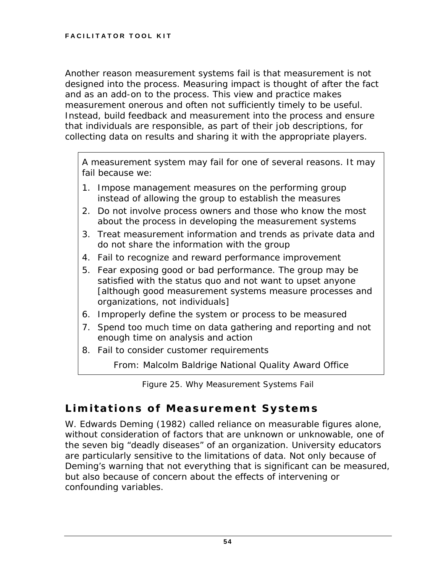Another reason measurement systems fail is that measurement is not designed into the process. Measuring impact is thought of after the fact and as an add-on to the process. This view and practice makes measurement onerous and often not sufficiently timely to be useful. Instead, build feedback and measurement into the process and ensure that individuals are responsible, as part of their job descriptions, for collecting data on results and sharing it with the appropriate players.

A measurement system may fail for one of several reasons. It may fail because we:

- 1. Impose management measures on the performing group instead of allowing the group to establish the measures
- 2. Do not involve process owners and those who know the most about the process in developing the measurement systems
- 3. Treat measurement information and trends as private data and do not share the information with the group
- 4. Fail to recognize and reward performance improvement
- 5. Fear exposing good or bad performance. The group may be satisfied with the status quo and not want to upset anyone [although good measurement systems measure processes and organizations, not individuals]
- 6. Improperly define the system or process to be measured
- 7. Spend too much time on data gathering and reporting and not enough time on analysis and action
- 8. Fail to consider customer requirements

From: Malcolm Baldrige National Quality Award Office

*Figure 25. Why Measurement Systems Fail* 

## **Limitations of Measurement Systems**

W. Edwards Deming (1982) called reliance on measurable figures alone, without consideration of factors that are unknown or unknowable, one of the seven big "deadly diseases" of an organization. University educators are particularly sensitive to the limitations of data. Not only because of Deming's warning that not everything that is significant can be measured, but also because of concern about the effects of intervening or confounding variables.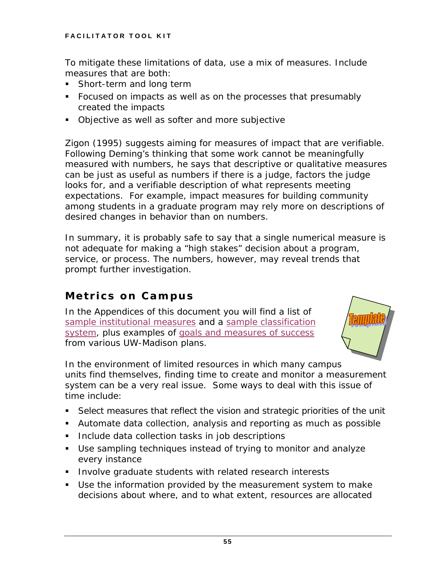To mitigate these limitations of data, use a mix of measures. Include measures that are both:

- **Short-term and long term**
- Focused on impacts as well as on the processes that presumably created the impacts
- **Diective as well as softer and more subjective**

Zigon (1995) suggests aiming for measures of impact that are verifiable. Following Deming's thinking that some work cannot be meaningfully measured with numbers, he says that descriptive or qualitative measures can be just as useful as numbers if there is a judge, factors the judge looks for, and a verifiable description of what represents meeting expectations. For example, impact measures for building community among students in a graduate program may rely more on descriptions of desired changes in behavior than on numbers.

In summary, it is probably safe to say that a single numerical measure is not adequate for making a "high stakes" decision about a program, service, or process. The numbers, however, may reveal trends that prompt further investigation.

#### **Metrics on Campus**

In the Appendices of this document you will find a list of [sample institutional measures](#page-75-0) and a [sample classification](#page-76-0)  [system](#page-76-0), plus examples of [goals and measures of success](#page-77-0) from various UW-Madison plans.



In the environment of limited resources in which many campus units find themselves, finding time to create and monitor a measurement system can be a very real issue. Some ways to deal with this issue of time include:

- Select measures that reflect the vision and strategic priorities of the unit
- Automate data collection, analysis and reporting as much as possible
- **Include data collection tasks in job descriptions**
- Use sampling techniques instead of trying to monitor and analyze every instance
- **Involve graduate students with related research interests**
- Use the information provided by the measurement system to make decisions about where, and to what extent, resources are allocated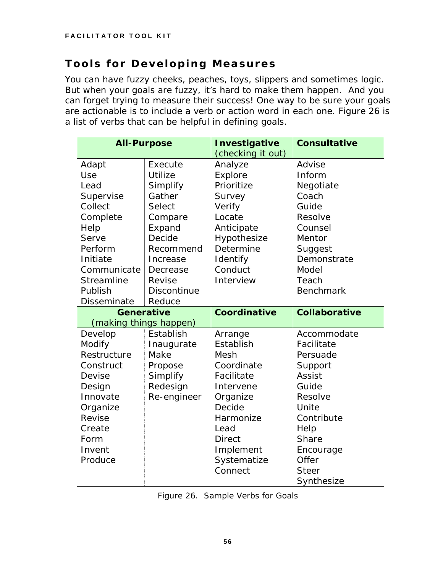## **Tools for Developing Measures**

You can have fuzzy cheeks, peaches, toys, slippers and sometimes logic. But when your goals are fuzzy, it's hard to make them happen. And you can forget trying to measure their success! One way to be sure your goals are actionable is to include a verb or action word in each one. Figure 26 is a list of verbs that can be helpful in defining goals.

| <b>All-Purpose</b>     |                    | Investigative       | <b>Consultative</b>  |
|------------------------|--------------------|---------------------|----------------------|
|                        |                    | (checking it out)   |                      |
| Adapt                  | Execute            | Analyze             | Advise               |
| Use                    | <b>Utilize</b>     | Explore             | Inform               |
| Lead                   | Simplify           | Prioritize          | Negotiate            |
| Supervise              | Gather             | Survey              | Coach                |
| Collect                | Select             | Verify              | Guide                |
| Complete               | Compare            | Locate              | Resolve              |
| Help                   | Expand             | Anticipate          | Counsel              |
| Serve                  | Decide             | Hypothesize         | Mentor               |
| Perform                | Recommend          | Determine           | Suggest              |
| Initiate               | Increase           | Identify            | Demonstrate          |
| Communicate            | Decrease           | Conduct             | Model                |
| <b>Streamline</b>      | Revise             | Interview           | Teach                |
| Publish                | <b>Discontinue</b> |                     | <b>Benchmark</b>     |
| <b>Disseminate</b>     | Reduce             |                     |                      |
| <b>Generative</b>      |                    | <b>Coordinative</b> | <b>Collaborative</b> |
| (making things happen) |                    |                     |                      |
| Develop                | Establish          | Arrange             | Accommodate          |
| Modify                 | Inaugurate         | Establish           | Facilitate           |
| Restructure            | Make               | Mesh                | Persuade             |
| Construct              | Propose            | Coordinate          | Support              |
| Devise                 | Simplify           | Facilitate          | <b>Assist</b>        |
| Design                 | Redesign           | Intervene           | Guide                |
| Innovate               | Re-engineer        | Organize            | Resolve              |
| Organize               |                    | Decide              | Unite                |
| Revise                 |                    | Harmonize           | Contribute           |
| Create                 |                    | Lead                | Help                 |
| Form                   |                    | <b>Direct</b>       | Share                |
| Invent                 |                    | Implement           | Encourage            |
| Produce                |                    | Systematize         | Offer                |
|                        |                    | Connect             | <b>Steer</b>         |
|                        |                    |                     | Synthesize           |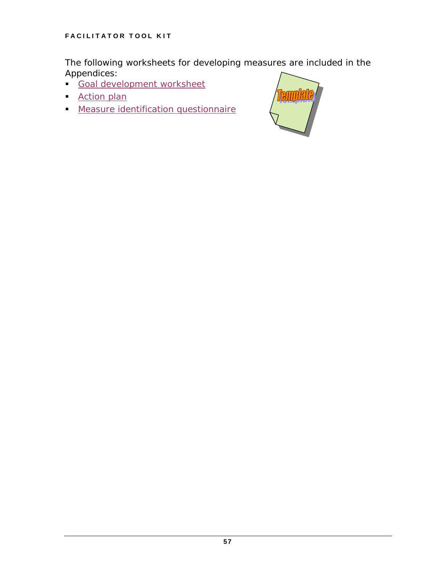The following worksheets for developing measures are included in the Appendices:

- [Goal development worksheet](#page-79-0)
- **[Action plan](#page-80-0)**
- **[Measure identification questionnaire](#page-81-0)**

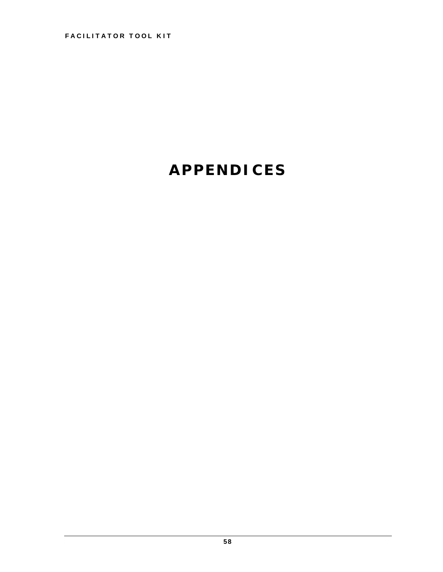## **APPENDICES**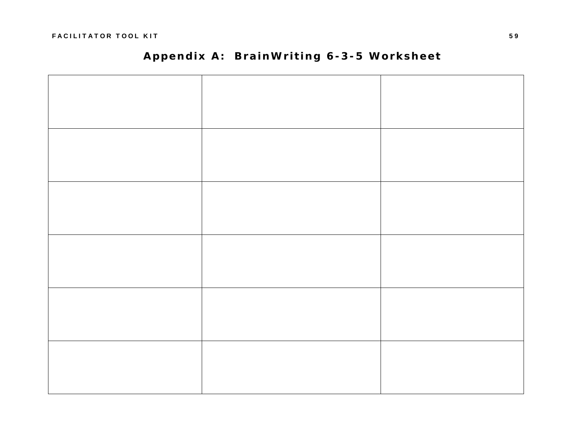## **Appendix A: BrainWriting 6-3-5 Worksheet**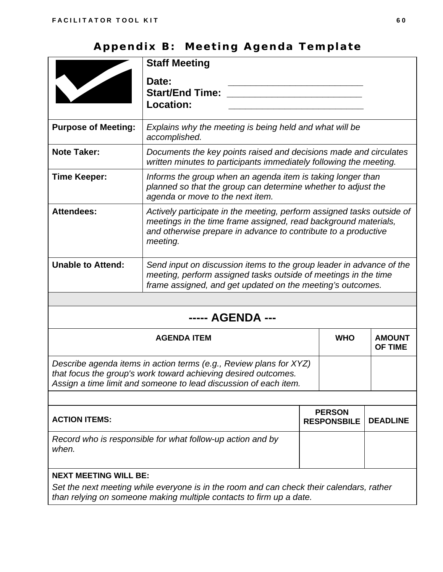## **Appendix B: Meeting Agenda Template**

|                            | <b>Staff Meeting</b><br>Date:<br><b>Start/End Time:</b><br>Location:                                                                                                                                                    |
|----------------------------|-------------------------------------------------------------------------------------------------------------------------------------------------------------------------------------------------------------------------|
| <b>Purpose of Meeting:</b> | Explains why the meeting is being held and what will be<br>accomplished.                                                                                                                                                |
| <b>Note Taker:</b>         | Documents the key points raised and decisions made and circulates<br>written minutes to participants immediately following the meeting.                                                                                 |
| <b>Time Keeper:</b>        | Informs the group when an agenda item is taking longer than<br>planned so that the group can determine whether to adjust the<br>agenda or move to the next item.                                                        |
| <b>Attendees:</b>          | Actively participate in the meeting, perform assigned tasks outside of<br>meetings in the time frame assigned, read background materials,<br>and otherwise prepare in advance to contribute to a productive<br>meeting. |
| <b>Unable to Attend:</b>   | Send input on discussion items to the group leader in advance of the<br>meeting, perform assigned tasks outside of meetings in the time<br>frame assigned, and get updated on the meeting's outcomes.                   |
|                            |                                                                                                                                                                                                                         |

## **----- AGENDA ---**

| <b>AGENDA ITEM</b>                                                                                                                                                                                       | <b>WHO</b> | <b>AMOUNT</b><br><b>OF TIME</b>     |                 |
|----------------------------------------------------------------------------------------------------------------------------------------------------------------------------------------------------------|------------|-------------------------------------|-----------------|
| Describe agenda items in action terms (e.g., Review plans for XYZ)<br>that focus the group's work toward achieving desired outcomes.<br>Assign a time limit and someone to lead discussion of each item. |            |                                     |                 |
|                                                                                                                                                                                                          |            |                                     |                 |
| <b>ACTION ITEMS:</b>                                                                                                                                                                                     |            | <b>PERSON</b><br><b>RESPONSBILE</b> | <b>DEADLINE</b> |
| Record who is responsible for what follow-up action and by<br>when.                                                                                                                                      |            |                                     |                 |
| <b>NEXT MEETING WILL BE:</b>                                                                                                                                                                             |            |                                     |                 |
| Set the next meeting while everyone is in the room and can check their calendars, rather                                                                                                                 |            |                                     |                 |

*than relying on someone making multiple contacts to firm up a date.*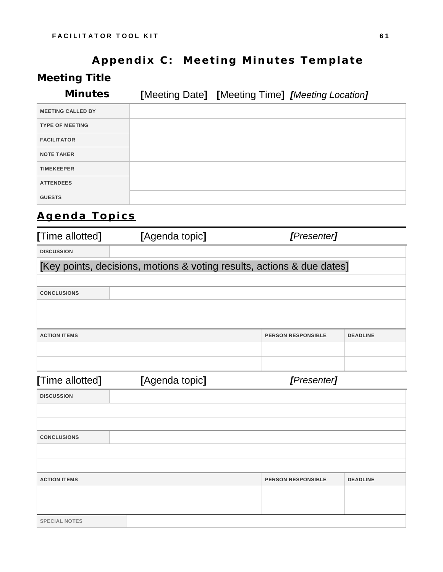# **Appendix C: Meeting Minutes Template**

## **Meeting Title**

**Minutes [**Meeting Date**] [**Meeting Time**]** *[Meeting Location]* 

| <b>MEETING CALLED BY</b> |  |
|--------------------------|--|
| <b>TYPE OF MEETING</b>   |  |
| <b>FACILITATOR</b>       |  |
| <b>NOTE TAKER</b>        |  |
| <b>TIMEKEEPER</b>        |  |
| <b>ATTENDEES</b>         |  |
| <b>GUESTS</b>            |  |

## **Agenda Topics**

| [Time allotted]      | [Agenda topic]<br>[Presenter]                                          |                           |                 |  |  |  |  |  |  |  |  |
|----------------------|------------------------------------------------------------------------|---------------------------|-----------------|--|--|--|--|--|--|--|--|
| <b>DISCUSSION</b>    |                                                                        |                           |                 |  |  |  |  |  |  |  |  |
|                      | [Key points, decisions, motions & voting results, actions & due dates] |                           |                 |  |  |  |  |  |  |  |  |
|                      |                                                                        |                           |                 |  |  |  |  |  |  |  |  |
| <b>CONCLUSIONS</b>   |                                                                        |                           |                 |  |  |  |  |  |  |  |  |
|                      |                                                                        |                           |                 |  |  |  |  |  |  |  |  |
|                      |                                                                        |                           |                 |  |  |  |  |  |  |  |  |
| <b>ACTION ITEMS</b>  |                                                                        | <b>PERSON RESPONSIBLE</b> | <b>DEADLINE</b> |  |  |  |  |  |  |  |  |
|                      |                                                                        |                           |                 |  |  |  |  |  |  |  |  |
|                      |                                                                        |                           |                 |  |  |  |  |  |  |  |  |
| [Time allotted]      | [Agenda topic]                                                         | [Presenter]               |                 |  |  |  |  |  |  |  |  |
| <b>DISCUSSION</b>    |                                                                        |                           |                 |  |  |  |  |  |  |  |  |
|                      |                                                                        |                           |                 |  |  |  |  |  |  |  |  |
|                      |                                                                        |                           |                 |  |  |  |  |  |  |  |  |
| <b>CONCLUSIONS</b>   |                                                                        |                           |                 |  |  |  |  |  |  |  |  |
|                      |                                                                        |                           |                 |  |  |  |  |  |  |  |  |
|                      |                                                                        |                           |                 |  |  |  |  |  |  |  |  |
| <b>ACTION ITEMS</b>  |                                                                        | <b>PERSON RESPONSIBLE</b> | <b>DEADLINE</b> |  |  |  |  |  |  |  |  |
|                      |                                                                        |                           |                 |  |  |  |  |  |  |  |  |
|                      |                                                                        |                           |                 |  |  |  |  |  |  |  |  |
| <b>SPECIAL NOTES</b> |                                                                        |                           |                 |  |  |  |  |  |  |  |  |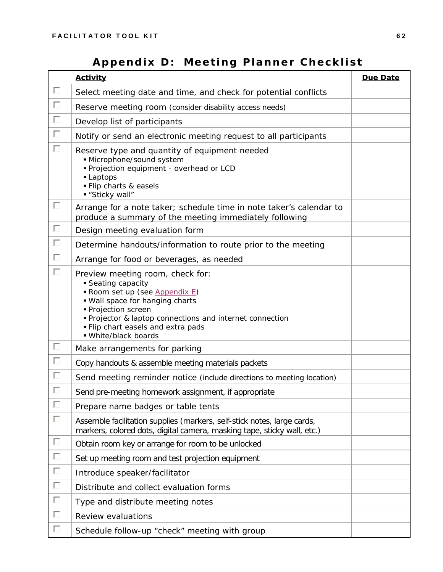## **Appendix D: Meeting Planner Checklist**

|        | <b>Activity</b>                                                                                                                                                                                                                                                          | Due Date |
|--------|--------------------------------------------------------------------------------------------------------------------------------------------------------------------------------------------------------------------------------------------------------------------------|----------|
| П      | Select meeting date and time, and check for potential conflicts                                                                                                                                                                                                          |          |
| П      | Reserve meeting room (consider disability access needs)                                                                                                                                                                                                                  |          |
| П      | Develop list of participants                                                                                                                                                                                                                                             |          |
| $\Box$ | Notify or send an electronic meeting request to all participants                                                                                                                                                                                                         |          |
| П      | Reserve type and quantity of equipment needed<br>· Microphone/sound system<br>· Projection equipment - overhead or LCD<br>- Laptops<br>· Flip charts & easels<br>"Sticky wall"                                                                                           |          |
| П      | Arrange for a note taker; schedule time in note taker's calendar to<br>produce a summary of the meeting immediately following                                                                                                                                            |          |
| П      | Design meeting evaluation form                                                                                                                                                                                                                                           |          |
| $\Box$ | Determine handouts/information to route prior to the meeting                                                                                                                                                                                                             |          |
| $\Box$ | Arrange for food or beverages, as needed                                                                                                                                                                                                                                 |          |
| П      | Preview meeting room, check for:<br>Seating capacity<br>Room set up (see Appendix E)<br>. Wall space for hanging charts<br>• Projection screen<br>• Projector & laptop connections and internet connection<br>. Flip chart easels and extra pads<br>■ White/black boards |          |
| П      | Make arrangements for parking                                                                                                                                                                                                                                            |          |
| $\Box$ | Copy handouts & assemble meeting materials packets                                                                                                                                                                                                                       |          |
| П      | Send meeting reminder notice (include directions to meeting location)                                                                                                                                                                                                    |          |
|        | Send pre-meeting homework assignment, if appropriate                                                                                                                                                                                                                     |          |
| П      | Prepare name badges or table tents                                                                                                                                                                                                                                       |          |
| П      | Assemble facilitation supplies (markers, self-stick notes, large cards,<br>markers, colored dots, digital camera, masking tape, sticky wall, etc.)                                                                                                                       |          |
| $\Box$ | Obtain room key or arrange for room to be unlocked                                                                                                                                                                                                                       |          |
| П      | Set up meeting room and test projection equipment                                                                                                                                                                                                                        |          |
| П      | Introduce speaker/facilitator                                                                                                                                                                                                                                            |          |
| $\Box$ | Distribute and collect evaluation forms                                                                                                                                                                                                                                  |          |
| П      | Type and distribute meeting notes                                                                                                                                                                                                                                        |          |
| П      | Review evaluations                                                                                                                                                                                                                                                       |          |
| П      | Schedule follow-up "check" meeting with group                                                                                                                                                                                                                            |          |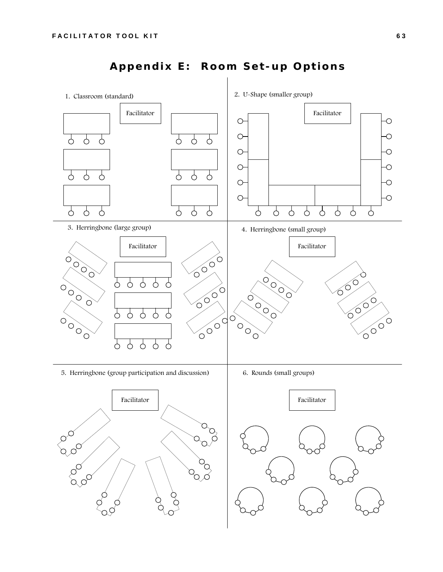

## **Appendix E: Room Set-up Options**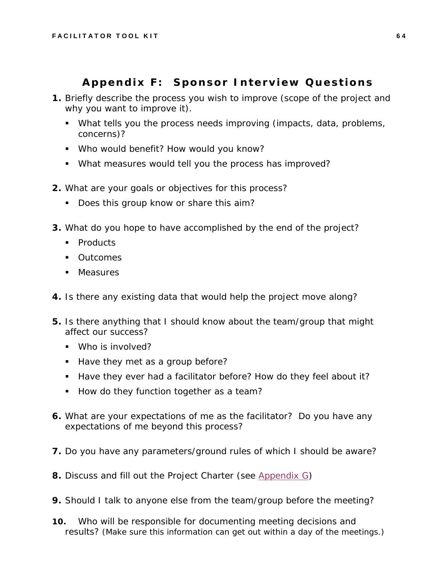#### **Appendix F: Sponsor Interview Questions**

- **1.** Briefly describe the process you wish to improve (scope of the project and why you want to improve it).
	- What tells you the process needs improving (impacts, data, problems, concerns)?
	- Who would benefit? How would you know?
	- What measures would tell you the process has improved?
- **2.** What are your goals or objectives for this process?
	- Does this group know or share this aim?
- **3.** What do you hope to have accomplished by the end of the project?
	- Products
	- **•** Outcomes
	- **Measures**
- **4.** Is there any existing data that would help the project move along?
- **5.** Is there anything that I should know about the team/group that might affect our success?
	- **Who is involved?**
	- Have they met as a group before?
	- Have they ever had a facilitator before? How do they feel about it?
	- How do they function together as a team?
- **6.** What are your expectations of me as the facilitator? Do you have any expectations of me beyond this process?
- **7.** Do you have any parameters/ground rules of which I should be aware?
- **8.** Discuss and fill out the *Project Charter* (see Appendix G)
- **9.** Should I talk to anyone else from the team/group before the meeting?
- **10.** Who will be responsible for documenting meeting decisions and results? *(Make sure this information can get out within a day of the meetings.)*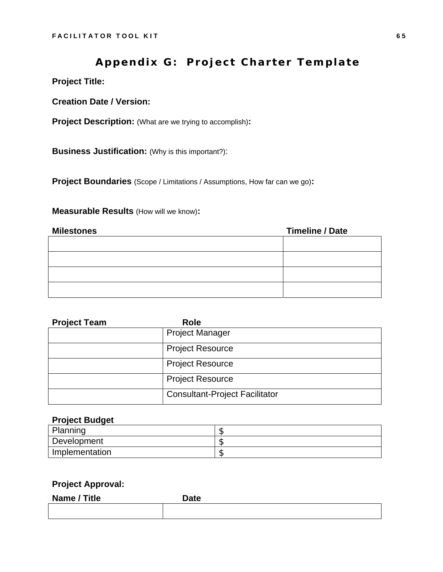#### **Appendix G: Project Charter Template**

**Project Title:**

**Creation Date / Version:** 

**Project Description:** (What are we trying to accomplish)**:** 

**Business Justification: (Why is this important?):** 

**Project Boundaries** (Scope / Limitations / Assumptions, How far can we go)**:** 

#### **Measurable Results** (How will we know)**:**

| <b>Milestones</b> | <b>Timeline / Date</b> |
|-------------------|------------------------|
|                   |                        |
|                   |                        |
|                   |                        |
|                   |                        |

| <b>Project Team</b> | <b>Role</b>                           |
|---------------------|---------------------------------------|
|                     | <b>Project Manager</b>                |
|                     | <b>Project Resource</b>               |
|                     | <b>Project Resource</b>               |
|                     | <b>Project Resource</b>               |
|                     | <b>Consultant-Project Facilitator</b> |

#### **Project Budget**

| Planning       | -- |
|----------------|----|
| Development    |    |
| Implementation |    |

#### **Project Approval:**

| Name / Title | <b>Date</b> |
|--------------|-------------|
|              |             |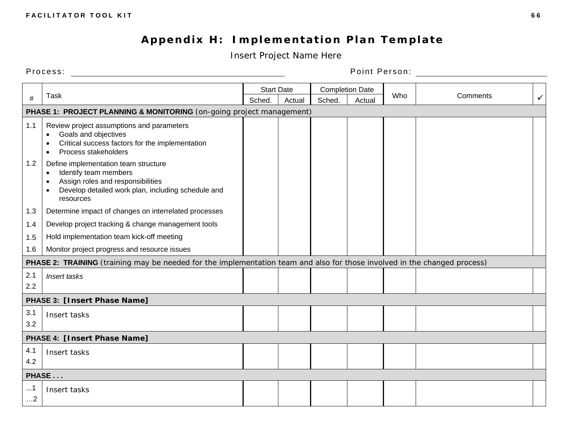## **Appendix H: Implementation Plan Template**

*Insert Project Name Here* 

Process: Point Person:

|                        |                                                                                                                                                                       |        | <b>Start Date</b> |        | <b>Completion Date</b> |     |          |              |  |  |
|------------------------|-----------------------------------------------------------------------------------------------------------------------------------------------------------------------|--------|-------------------|--------|------------------------|-----|----------|--------------|--|--|
| #                      | <b>Task</b>                                                                                                                                                           | Sched. | Actual            | Sched. | Actual                 | Who | Comments | $\checkmark$ |  |  |
|                        | PHASE 1: PROJECT PLANNING & MONITORING (on-going project management)                                                                                                  |        |                   |        |                        |     |          |              |  |  |
| 1.1                    | Review project assumptions and parameters<br>Goals and objectives<br>Critical success factors for the implementation<br>Process stakeholders<br>$\bullet$             |        |                   |        |                        |     |          |              |  |  |
| 1.2                    | Define implementation team structure<br>Identify team members<br>Assign roles and responsibilities<br>Develop detailed work plan, including schedule and<br>resources |        |                   |        |                        |     |          |              |  |  |
| 1.3                    | Determine impact of changes on interrelated processes                                                                                                                 |        |                   |        |                        |     |          |              |  |  |
| 1.4                    | Develop project tracking & change management tools                                                                                                                    |        |                   |        |                        |     |          |              |  |  |
| 1.5                    | Hold implementation team kick-off meeting                                                                                                                             |        |                   |        |                        |     |          |              |  |  |
| 1.6                    | Monitor project progress and resource issues                                                                                                                          |        |                   |        |                        |     |          |              |  |  |
|                        | PHASE 2: TRAINING (training may be needed for the implementation team and also for those involved in the changed process)                                             |        |                   |        |                        |     |          |              |  |  |
| 2.1<br>2.2             | Insert tasks                                                                                                                                                          |        |                   |        |                        |     |          |              |  |  |
|                        | PHASE 3: [Insert Phase Name]                                                                                                                                          |        |                   |        |                        |     |          |              |  |  |
| 3.1<br>3.2             | Insert tasks                                                                                                                                                          |        |                   |        |                        |     |          |              |  |  |
|                        | PHASE 4: [Insert Phase Name]                                                                                                                                          |        |                   |        |                        |     |          |              |  |  |
| 4.1<br>4.2             | Insert tasks                                                                                                                                                          |        |                   |        |                        |     |          |              |  |  |
|                        | PHASE                                                                                                                                                                 |        |                   |        |                        |     |          |              |  |  |
| $\dots 1$<br>$\dots$ 2 | Insert tasks                                                                                                                                                          |        |                   |        |                        |     |          |              |  |  |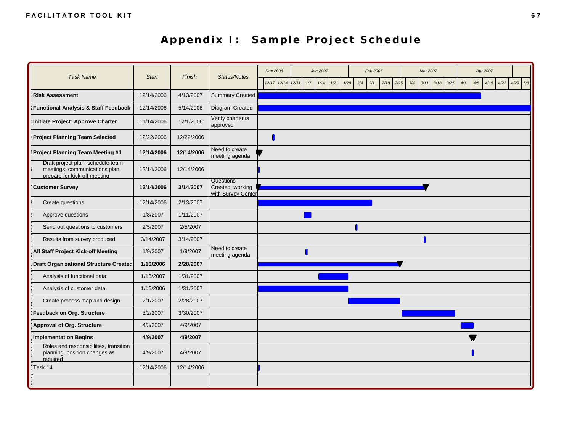## **Appendix I: Sample Project Schedule**

| <b>Task Name</b>                                                                                    | <b>Start</b> | Finish     | <b>Status/Notes</b>                                 | Dec 2006          |     | Jan 2007 |              |     | Feb 2007 |      |             | Mar 2007 |              |            | Apr 2007 |      |            |
|-----------------------------------------------------------------------------------------------------|--------------|------------|-----------------------------------------------------|-------------------|-----|----------|--------------|-----|----------|------|-------------|----------|--------------|------------|----------|------|------------|
|                                                                                                     |              |            |                                                     | 12/17 12/24 12/31 | 1/7 | 1/14     | 1/21<br>1/28 | 2/4 | 2/11     | 2/18 | 2/25<br>3/4 | 3/11     | 3/18<br>3/25 | 4/1<br>4/8 | 4/15     | 4/22 | $4/29$ 5/6 |
| <b>Risk Assessment</b>                                                                              | 12/14/2006   | 4/13/2007  | <b>Summary Created</b>                              |                   |     |          |              |     |          |      |             |          |              |            |          |      |            |
| Functional Analysis & Staff Feedback                                                                | 12/14/2006   | 5/14/2008  | Diagram Created                                     |                   |     |          |              |     |          |      |             |          |              |            |          |      |            |
| Initiate Project: Approve Charter                                                                   | 11/14/2006   | 12/1/2006  | Verify charter is<br>approved                       |                   |     |          |              |     |          |      |             |          |              |            |          |      |            |
| Project Planning Team Selected                                                                      | 12/22/2006   | 12/22/2006 |                                                     |                   |     |          |              |     |          |      |             |          |              |            |          |      |            |
| Project Planning Team Meeting #1                                                                    | 12/14/2006   | 12/14/2006 | Need to create<br>meeting agenda                    |                   |     |          |              |     |          |      |             |          |              |            |          |      |            |
| Draft project plan, schedule team<br>meetings, communications plan,<br>prepare for kick-off meeting | 12/14/2006   | 12/14/2006 |                                                     |                   |     |          |              |     |          |      |             |          |              |            |          |      |            |
| Customer Survey                                                                                     | 12/14/2006   | 3/14/2007  | Questions<br>Created, working<br>with Survey Center |                   |     |          |              |     |          |      |             |          |              |            |          |      |            |
| Create questions                                                                                    | 12/14/2006   | 2/13/2007  |                                                     |                   |     |          |              |     |          |      |             |          |              |            |          |      |            |
| Approve questions                                                                                   | 1/8/2007     | 1/11/2007  |                                                     |                   |     |          |              |     |          |      |             |          |              |            |          |      |            |
| Send out questions to customers                                                                     | 2/5/2007     | 2/5/2007   |                                                     |                   |     |          |              |     |          |      |             |          |              |            |          |      |            |
| Results from survey produced                                                                        | 3/14/2007    | 3/14/2007  |                                                     |                   |     |          |              |     |          |      |             |          |              |            |          |      |            |
| All Staff Project Kick-off Meeting                                                                  | 1/9/2007     | 1/9/2007   | Need to create<br>meeting agenda                    |                   |     |          |              |     |          |      |             |          |              |            |          |      |            |
| <b>Draft Organizational Structure Created</b>                                                       | 1/16/2006    | 2/28/2007  |                                                     |                   |     |          |              |     |          |      |             |          |              |            |          |      |            |
| Analysis of functional data                                                                         | 1/16/2007    | 1/31/2007  |                                                     |                   |     |          |              |     |          |      |             |          |              |            |          |      |            |
| Analysis of customer data                                                                           | 1/16/2006    | 1/31/2007  |                                                     |                   |     |          |              |     |          |      |             |          |              |            |          |      |            |
| Create process map and design                                                                       | 2/1/2007     | 2/28/2007  |                                                     |                   |     |          |              |     |          |      |             |          |              |            |          |      |            |
| Feedback on Org. Structure                                                                          | 3/2/2007     | 3/30/2007  |                                                     |                   |     |          |              |     |          |      |             |          |              |            |          |      |            |
| Approval of Org. Structure                                                                          | 4/3/2007     | 4/9/2007   |                                                     |                   |     |          |              |     |          |      |             |          |              |            |          |      |            |
| Implementation Begins                                                                               | 4/9/2007     | 4/9/2007   |                                                     |                   |     |          |              |     |          |      |             |          |              |            |          |      |            |
| Roles and responsibilities, transition<br>planning, position changes as<br>required                 | 4/9/2007     | 4/9/2007   |                                                     |                   |     |          |              |     |          |      |             |          |              |            |          |      |            |
| Task 14                                                                                             | 12/14/2006   | 12/14/2006 |                                                     |                   |     |          |              |     |          |      |             |          |              |            |          |      |            |
|                                                                                                     |              |            |                                                     |                   |     |          |              |     |          |      |             |          |              |            |          |      |            |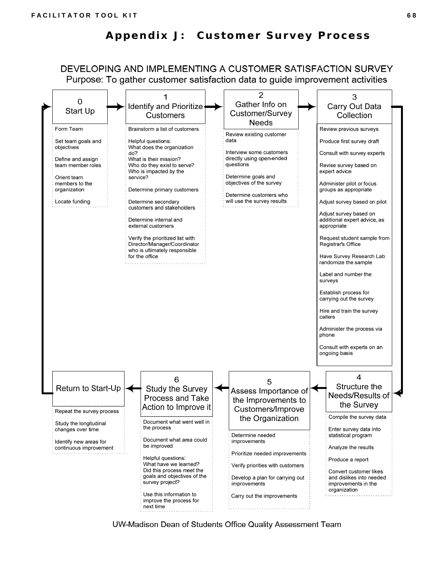# **Appendix J: Customer Survey Process**

DEVELOPING AND IMPLEMENTING A CUSTOMER SATISFACTION SURVEY Purpose: To gather customer satisfaction data to guide improvement activities



UW-Madison Dean of Students Office Quality Assessment Team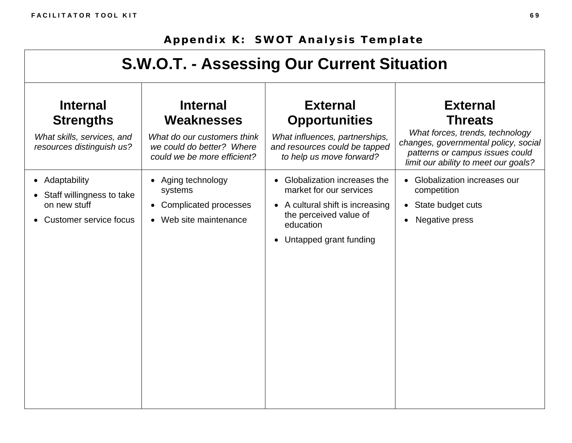# **Appendix K: SWOT Analysis Template**

| S.W.O.T. - Assessing Our Current Situation                                                     |                                                                                                                          |                                                                                                                                                               |                                                                                                                                                                                         |  |  |
|------------------------------------------------------------------------------------------------|--------------------------------------------------------------------------------------------------------------------------|---------------------------------------------------------------------------------------------------------------------------------------------------------------|-----------------------------------------------------------------------------------------------------------------------------------------------------------------------------------------|--|--|
| <b>Internal</b><br><b>Strengths</b><br>What skills, services, and<br>resources distinguish us? | <b>Internal</b><br>Weaknesses<br>What do our customers think<br>we could do better? Where<br>could we be more efficient? | <b>External</b><br><b>Opportunities</b><br>What influences, partnerships,<br>and resources could be tapped<br>to help us move forward?                        | <b>External</b><br><b>Threats</b><br>What forces, trends, technology<br>changes, governmental policy, social<br>patterns or campus issues could<br>limit our ability to meet our goals? |  |  |
| • Adaptability<br>• Staff willingness to take<br>on new stuff<br>• Customer service focus      | Aging technology<br>systems<br><b>Complicated processes</b><br>$\bullet$<br>Web site maintenance<br>$\bullet$            | • Globalization increases the<br>market for our services<br>• A cultural shift is increasing<br>the perceived value of<br>education<br>Untapped grant funding | • Globalization increases our<br>competition<br>State budget cuts<br>$\bullet$<br>Negative press                                                                                        |  |  |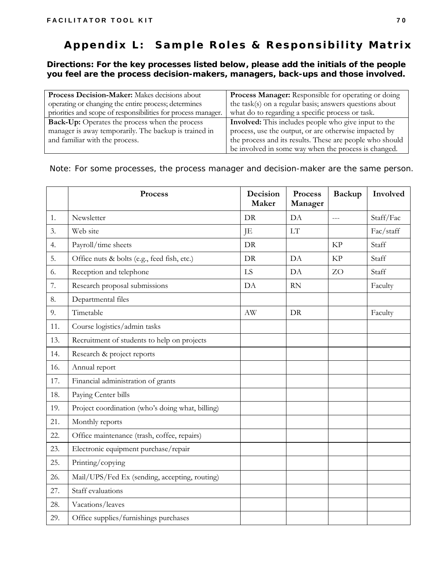# **Appendix L: Sample Roles & Responsibility Matrix**

*Directions: For the key processes listed below, please add the initials of the people you feel are the process decision-makers, managers, back-ups and those involved.* 

| Process Decision-Maker: Makes decisions about                 | <b>Process Manager:</b> Responsible for operating or doing  |
|---------------------------------------------------------------|-------------------------------------------------------------|
| operating or changing the entire process; determines          | the task(s) on a regular basis; answers questions about     |
| priorities and scope of responsibilities for process manager. | what do to regarding a specific process or task.            |
| <b>Back-Up:</b> Operates the process when the process         | <b>Involved:</b> This includes people who give input to the |
| manager is away temporarily. The backup is trained in         | process, use the output, or are otherwise impacted by       |
| and familiar with the process.                                | the process and its results. These are people who should    |
|                                                               | be involved in some way when the process is changed.        |

*Note: For some processes, the process manager and decision-maker are the same person.* 

|     | Process                                          | Decision<br>Maker      | Process<br>Manager | <b>Backup</b> | Involved  |
|-----|--------------------------------------------------|------------------------|--------------------|---------------|-----------|
| 1.  | Newsletter                                       | DR                     | DA                 | $\frac{1}{2}$ | Staff/Fac |
| 3.  | Web site                                         | JE                     | <b>LT</b>          |               | Fac/staff |
| 4.  | Payroll/time sheets                              | DR                     |                    | <b>KP</b>     | Staff     |
| 5.  | Office nuts & bolts (e.g., feed fish, etc.)      | DR                     | DA                 | <b>KP</b>     | Staff     |
| 6.  | Reception and telephone                          | LS                     | DA                 | ZO            | Staff     |
| 7.  | Research proposal submissions                    | DA                     | <b>RN</b>          |               | Faculty   |
| 8.  | Departmental files                               |                        |                    |               |           |
| 9.  | Timetable                                        | $\mathbf{A}\mathbf{W}$ | DR                 |               | Faculty   |
| 11. | Course logistics/admin tasks                     |                        |                    |               |           |
| 13. | Recruitment of students to help on projects      |                        |                    |               |           |
| 14. | Research & project reports                       |                        |                    |               |           |
| 16. | Annual report                                    |                        |                    |               |           |
| 17. | Financial administration of grants               |                        |                    |               |           |
| 18. | Paying Center bills                              |                        |                    |               |           |
| 19. | Project coordination (who's doing what, billing) |                        |                    |               |           |
| 21. | Monthly reports                                  |                        |                    |               |           |
| 22. | Office maintenance (trash, coffee, repairs)      |                        |                    |               |           |
| 23. | Electronic equipment purchase/repair             |                        |                    |               |           |
| 25. | Printing/copying                                 |                        |                    |               |           |
| 26. | Mail/UPS/Fed Ex (sending, accepting, routing)    |                        |                    |               |           |
| 27. | Staff evaluations                                |                        |                    |               |           |
| 28. | Vacations/leaves                                 |                        |                    |               |           |
| 29. | Office supplies/furnishings purchases            |                        |                    |               |           |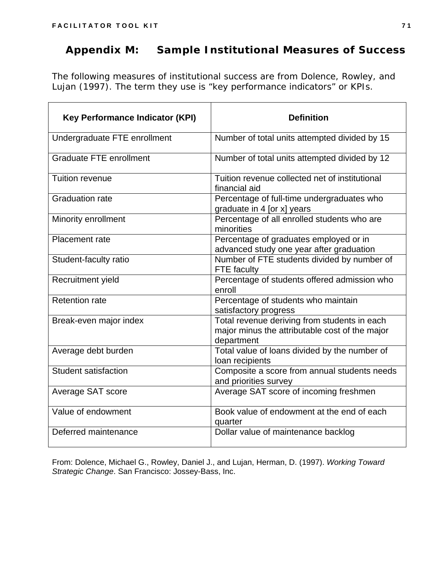## **Appendix M: Sample Institutional Measures of Success**

The following measures of institutional success are from Dolence, Rowley, and Lujan (1997). The term they use is "key performance indicators" or KPIs.

| <b>Key Performance Indicator (KPI)</b> | <b>Definition</b>                                                                                            |  |  |
|----------------------------------------|--------------------------------------------------------------------------------------------------------------|--|--|
| Undergraduate FTE enrollment           | Number of total units attempted divided by 15                                                                |  |  |
| Graduate FTE enrollment                | Number of total units attempted divided by 12                                                                |  |  |
| Tuition revenue                        | Tuition revenue collected net of institutional<br>financial aid                                              |  |  |
| <b>Graduation rate</b>                 | Percentage of full-time undergraduates who<br>graduate in 4 [or x] years                                     |  |  |
| Minority enrollment                    | Percentage of all enrolled students who are<br>minorities                                                    |  |  |
| Placement rate                         | Percentage of graduates employed or in<br>advanced study one year after graduation                           |  |  |
| Student-faculty ratio                  | Number of FTE students divided by number of<br><b>FTE</b> faculty                                            |  |  |
| Recruitment yield                      | Percentage of students offered admission who<br>enroll                                                       |  |  |
| <b>Retention rate</b>                  | Percentage of students who maintain<br>satisfactory progress                                                 |  |  |
| Break-even major index                 | Total revenue deriving from students in each<br>major minus the attributable cost of the major<br>department |  |  |
| Average debt burden                    | Total value of loans divided by the number of<br>loan recipients                                             |  |  |
| <b>Student satisfaction</b>            | Composite a score from annual students needs<br>and priorities survey                                        |  |  |
| Average SAT score                      | Average SAT score of incoming freshmen                                                                       |  |  |
| Value of endowment                     | Book value of endowment at the end of each<br>quarter                                                        |  |  |
| Deferred maintenance                   | Dollar value of maintenance backlog                                                                          |  |  |

From: Dolence, Michael G., Rowley, Daniel J., and Lujan, Herman, D. (1997). *Working Toward Strategic Change*. San Francisco: Jossey-Bass, Inc.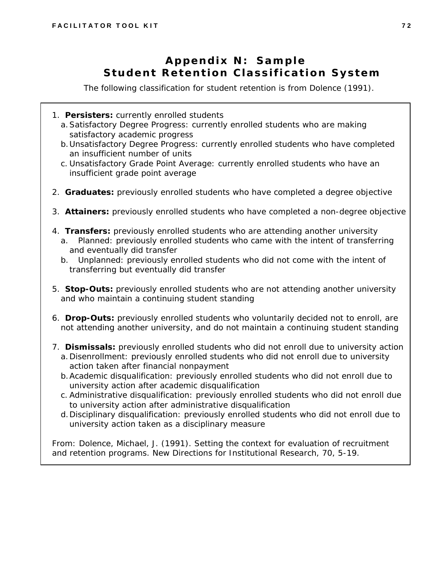# **Appendix N: Sample Student Retention Classification System**

*The following classification for student retention is from Dolence (1991).* 

- 1. **Persisters:** currently enrolled students
	- a.Satisfactory Degree Progress: currently enrolled students who are making satisfactory academic progress
	- b.Unsatisfactory Degree Progress: currently enrolled students who have completed an insufficient number of units
	- c. Unsatisfactory Grade Point Average: currently enrolled students who have an insufficient grade point average
- 2. **Graduates:** previously enrolled students who have completed a degree objective
- 3. **Attainers:** previously enrolled students who have completed a non-degree objective
- 4. **Transfers:** previously enrolled students who are attending another university
	- a. Planned: previously enrolled students who came with the intent of transferring and eventually did transfer
	- b. Unplanned: previously enrolled students who did not come with the intent of transferring but eventually did transfer
- 5. **Stop-Outs:** previously enrolled students who are not attending another university and who maintain a continuing student standing
- 6. **Drop-Outs:** previously enrolled students who voluntarily decided not to enroll, are not attending another university, and do not maintain a continuing student standing
- 7. **Dismissals:** previously enrolled students who did not enroll due to university action
	- a.Disenrollment: previously enrolled students who did not enroll due to university action taken after financial nonpayment
	- b.Academic disqualification: previously enrolled students who did not enroll due to university action after academic disqualification
	- c. Administrative disqualification: previously enrolled students who did not enroll due to university action after administrative disqualification
	- d.Disciplinary disqualification: previously enrolled students who did not enroll due to university action taken as a disciplinary measure

From: Dolence, Michael, J. (1991). Setting the context for evaluation of recruitment and retention programs. *New Directions for Institutional Research*, 70, 5-19.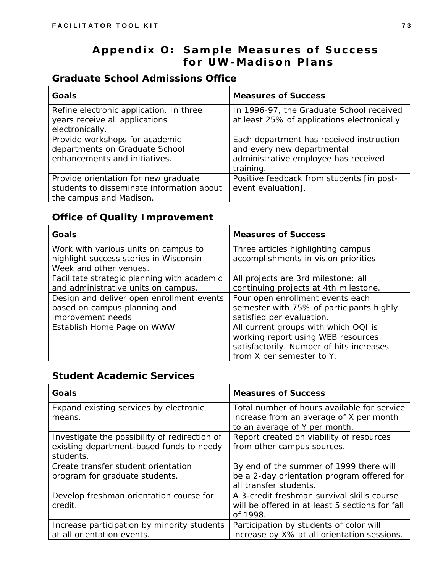# **Appendix O: Sample Measures of Success for UW-Madison Plans**

### *Graduate School Admissions Office*

| Goals                                                                                                        | <b>Measures of Success</b>                                                              |
|--------------------------------------------------------------------------------------------------------------|-----------------------------------------------------------------------------------------|
| Refine electronic application. In three<br>years receive all applications                                    | In 1996-97, the Graduate School received<br>at least 25% of applications electronically |
| electronically.                                                                                              |                                                                                         |
| Provide workshops for academic<br>departments on Graduate School                                             | Each department has received instruction<br>and every new departmental                  |
| enhancements and initiatives.                                                                                | administrative employee has received<br>training.                                       |
| Provide orientation for new graduate<br>students to disseminate information about<br>the campus and Madison. | Positive feedback from students [in post-<br>event evaluation].                         |

### *Office of Quality Improvement*

| Goals                                                                                                    | <b>Measures of Success</b>                                                                                                                          |
|----------------------------------------------------------------------------------------------------------|-----------------------------------------------------------------------------------------------------------------------------------------------------|
| Work with various units on campus to<br>highlight success stories in Wisconsin<br>Week and other venues. | Three articles highlighting campus<br>accomplishments in vision priorities                                                                          |
| Facilitate strategic planning with academic<br>and administrative units on campus.                       | All projects are 3rd milestone; all<br>continuing projects at 4th milestone.                                                                        |
| Design and deliver open enrollment events<br>based on campus planning and<br>improvement needs           | Four open enrollment events each<br>semester with 75% of participants highly<br>satisfied per evaluation.                                           |
| Establish Home Page on WWW                                                                               | All current groups with which OQI is<br>working report using WEB resources<br>satisfactorily. Number of hits increases<br>from X per semester to Y. |

### *Student Academic Services*

| <b>Goals</b>                                     | <b>Measures of Success</b>                                                             |
|--------------------------------------------------|----------------------------------------------------------------------------------------|
| Expand existing services by electronic<br>means. | Total number of hours available for service<br>increase from an average of X per month |
|                                                  | to an average of Y per month.                                                          |
| Investigate the possibility of redirection of    | Report created on viability of resources                                               |
| existing department-based funds to needy         | from other campus sources.                                                             |
| students.                                        |                                                                                        |
| Create transfer student orientation              | By end of the summer of 1999 there will                                                |
| program for graduate students.                   | be a 2-day orientation program offered for                                             |
|                                                  | all transfer students.                                                                 |
| Develop freshman orientation course for          | A 3-credit freshman survival skills course                                             |
| credit.                                          | will be offered in at least 5 sections for fall                                        |
|                                                  | of 1998.                                                                               |
| Increase participation by minority students      | Participation by students of color will                                                |
| at all orientation events.                       | increase by X% at all orientation sessions.                                            |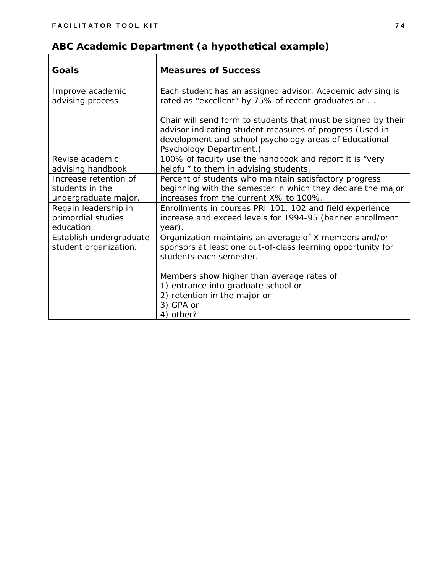| ABC Academic Department (a hypothetical example) |
|--------------------------------------------------|
|                                                  |

| Goals                                                            | <b>Measures of Success</b>                                                                                                                                                                                     |
|------------------------------------------------------------------|----------------------------------------------------------------------------------------------------------------------------------------------------------------------------------------------------------------|
| Improve academic<br>advising process                             | Each student has an assigned advisor. Academic advising is<br>rated as "excellent" by 75% of recent graduates or                                                                                               |
|                                                                  | Chair will send form to students that must be signed by their<br>advisor indicating student measures of progress (Used in<br>development and school psychology areas of Educational<br>Psychology Department.) |
| Revise academic<br>advising handbook                             | 100% of faculty use the handbook and report it is "very<br>helpful" to them in advising students.                                                                                                              |
| Increase retention of<br>students in the<br>undergraduate major. | Percent of students who maintain satisfactory progress<br>beginning with the semester in which they declare the major<br>increases from the current X% to 100%.                                                |
| Regain leadership in<br>primordial studies<br>education.         | Enrollments in courses PRI 101, 102 and field experience<br>increase and exceed levels for 1994-95 (banner enrollment<br>year).                                                                                |
| Establish undergraduate<br>student organization.                 | Organization maintains an average of X members and/or<br>sponsors at least one out-of-class learning opportunity for<br>students each semester.                                                                |
|                                                                  | Members show higher than average rates of<br>1) entrance into graduate school or<br>2) retention in the major or<br>3) GPA or<br>4) other?                                                                     |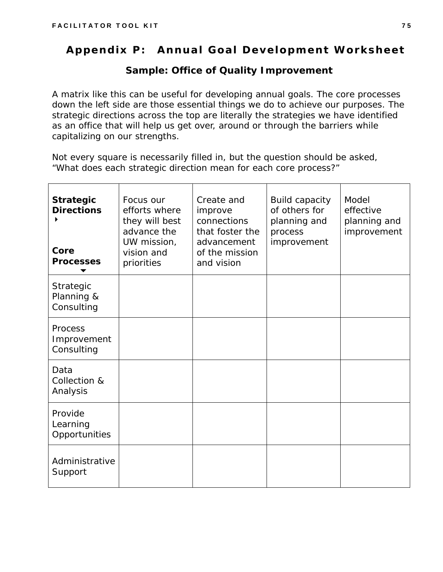# **Appendix P: Annual Goal Development Worksheet**

#### *Sample: Office of Quality Improvement*

A matrix like this can be useful for developing annual goals. The core processes down the left side are those essential things we do to achieve our purposes. The strategic directions across the top are literally the strategies we have identified as an office that will help us get over, around or through the barriers while capitalizing on our strengths.

Not every square is necessarily filled in, but the question should be asked, "What does each strategic direction mean for each core process?"

| <b>Strategic</b><br><b>Directions</b><br>Core<br><b>Processes</b> | Focus our<br>efforts where<br>they will best<br>advance the<br>UW mission,<br>vision and<br>priorities | Create and<br>improve<br>connections<br>that foster the<br>advancement<br>of the mission<br>and vision | <b>Build capacity</b><br>of others for<br>planning and<br>process<br>improvement | Model<br>effective<br>planning and<br>improvement |
|-------------------------------------------------------------------|--------------------------------------------------------------------------------------------------------|--------------------------------------------------------------------------------------------------------|----------------------------------------------------------------------------------|---------------------------------------------------|
| Strategic<br>Planning &<br>Consulting                             |                                                                                                        |                                                                                                        |                                                                                  |                                                   |
| Process<br>Improvement<br>Consulting                              |                                                                                                        |                                                                                                        |                                                                                  |                                                   |
| Data<br>Collection &<br>Analysis                                  |                                                                                                        |                                                                                                        |                                                                                  |                                                   |
| Provide<br>Learning<br>Opportunities                              |                                                                                                        |                                                                                                        |                                                                                  |                                                   |
| Administrative<br>Support                                         |                                                                                                        |                                                                                                        |                                                                                  |                                                   |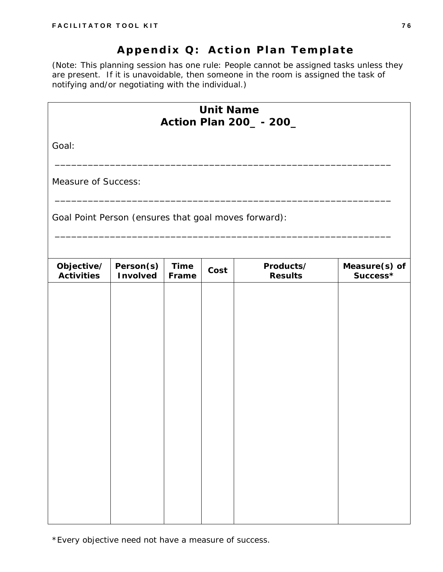# **Appendix Q: Action Plan Template**

*(Note: This planning session has one rule: People cannot be assigned tasks unless they are present. If it is unavoidable, then someone in the room is assigned the task of notifying and/or negotiating with the individual.)* 

|                                                      |                              |                      | <b>Unit Name</b> | <b>Action Plan 200_-200_</b> |                           |
|------------------------------------------------------|------------------------------|----------------------|------------------|------------------------------|---------------------------|
| Goal:                                                |                              |                      |                  |                              |                           |
| <b>Measure of Success:</b>                           |                              |                      |                  |                              |                           |
| Goal Point Person (ensures that goal moves forward): |                              |                      |                  |                              |                           |
| Objective/<br><b>Activities</b>                      | Person(s)<br><b>Involved</b> | <b>Time</b><br>Frame | Cost             | Products/<br><b>Results</b>  | Measure(s) of<br>Success* |
|                                                      |                              |                      |                  |                              |                           |
|                                                      |                              |                      |                  |                              |                           |
|                                                      |                              |                      |                  |                              |                           |
|                                                      |                              |                      |                  |                              |                           |
|                                                      |                              |                      |                  |                              |                           |
|                                                      |                              |                      |                  |                              |                           |
|                                                      |                              |                      |                  |                              |                           |

\*Every objective need not have a measure of success.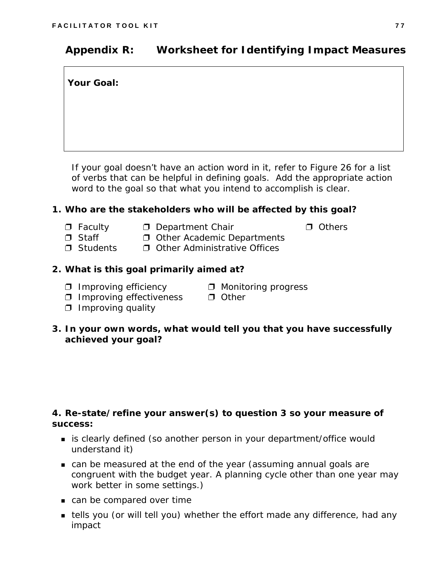# **Appendix R: Worksheet for Identifying Impact Measures**

**Your Goal:** 

*If your goal doesn't have an action word in it, refer to Figure 26 for a list of verbs that can be helpful in defining goals. Add the appropriate action word to the goal so that what you intend to accomplish is clear.* 

#### **1. Who are the stakeholders who will be affected by this goal?**

- 
- **□** Faculty □ Department Chair S Others
- 
- $\Box$  Staff  $\Box$  Other Academic Departments
- $\Box$  Students  $\Box$  Other Administrative Offices

#### **2. What is this goal primarily aimed at?**

- $\Box$  Improving efficiency  $\Box$  Monitoring progress
	-
- $\Box$  Improving effectiveness  $\Box$  Other
- $\Box$  Improving quality
- **3. In your own words, what would tell you that you have successfully achieved your goal?**

#### **4. Re-state/refine your answer(s) to question 3 so your measure of success:**

- is clearly defined (so another person in your department/office would understand it)
- can be measured at the end of the year (assuming annual goals are congruent with the budget year. A planning cycle other than one year may work better in some settings.)
- can be compared over time
- tells you (or will tell you) whether the effort made any difference, had any impact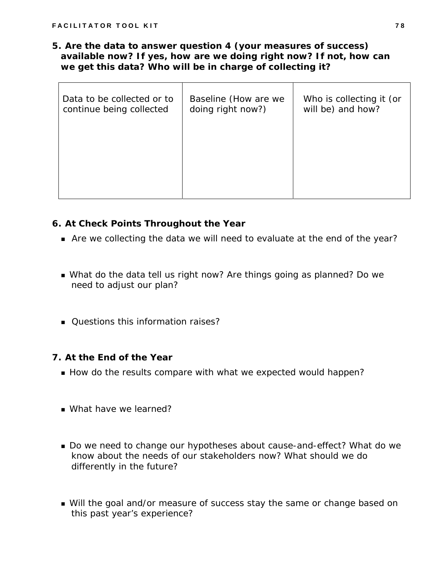**5. Are the data to answer question 4 (your measures of success) available now? If yes, how are we doing right now? If not, how can we get this data? Who will be in charge of collecting it?** 

| Data to be collected or to<br>continue being collected | Baseline (How are we<br>doing right now?) | Who is collecting it (or<br>will be) and how? |
|--------------------------------------------------------|-------------------------------------------|-----------------------------------------------|
|                                                        |                                           |                                               |
|                                                        |                                           |                                               |

#### **6. At Check Points Throughout the Year**

- Are we collecting the data we will need to evaluate at the end of the year?
- What do the data tell us right now? Are things going as planned? Do we need to adjust our plan?
- Questions this information raises?

#### **7. At the End of the Year**

- How do the results compare with what we expected would happen?
- What have we learned?
- Do we need to change our hypotheses about cause-and-effect? What do we know about the needs of our stakeholders now? What should we do differently in the future?
- Will the goal and/or measure of success stay the same or change based on this past year's experience?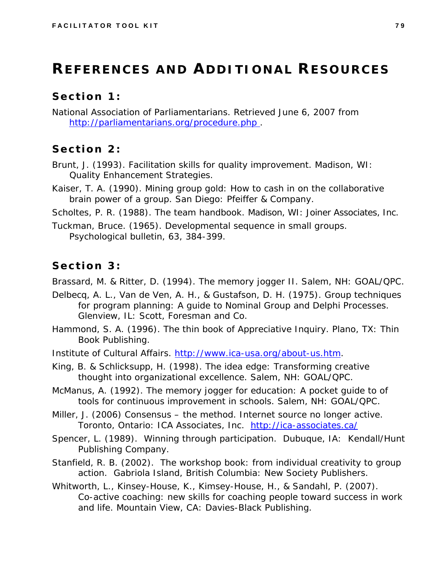# **REFERENCES AND ADDITIONAL RESOURCES**

### **Section 1:**

National Association of Parliamentarians. Retrieved June 6, 2007 fro[m](http:///www.parliamentarians.org/parlipro.htm) http://parliamentarians.org/procedure.php.

### **Section 2:**

- Brunt, J. (1993). *Facilitation skills for quality improvement*. Madison, WI: Quality Enhancement Strategies.
- Kaiser, T. A. (1990). *Mining group gold: How to cash in on the collaborative brain power of a group*. San Diego: Pfeiffer & Company.

Scholtes, P. R. (1988). *The team handbook*. Madison, WI: Joiner Associates, Inc.

Tuckman, Bruce. (1965). Developmental sequence in small groups. *Psychological bulletin,* 63, 384-399.

### **Section 3:**

Brassard, M. & Ritter, D. (1994). *The memory jogger II*. Salem, NH: GOAL/QPC.

- Delbecq, A. L., Van de Ven, A. H., & Gustafson, D. H. (1975). *Group techniques for program planning: A guide to Nominal Group and Delphi Processes*. Glenview, IL: Scott, Foresman and Co.
- Hammond, S. A. (1996). *The thin book of Appreciative Inquiry*. Plano, TX: Thin Book Publishing.
- Institute of Cultural Affairs. <http://www.ica-usa.org/about-us.htm>.
- King, B. & Schlicksupp, H. (1998). *The idea edge: Transforming creative thought into organizational excellence*. Salem, NH: GOAL/QPC.
- McManus, A. (1992). *The memory jogger for education: A pocket guide to of tools for continuous improvement in schools.* Salem, NH: GOAL/QPC.
- Miller, J. (2006) *Consensus the method*. Internet source no longer active. Toronto, Ontario: ICA Associates, Inc. <http://ica-associates.ca/>
- Spencer, L. (1989). *Winning through participation*. Dubuque, IA: Kendall/Hunt Publishing Company.
- Stanfield, R. B. (2002). *The workshop book: from individual creativity to group action*. Gabriola Island, British Columbia: New Society Publishers.
- Whitworth, L., Kinsey-House, K., Kimsey-House, H., & Sandahl, P. (2007). *Co-active coaching: new skills for coaching people toward success in work and life.* Mountain View, CA: Davies-Black Publishing.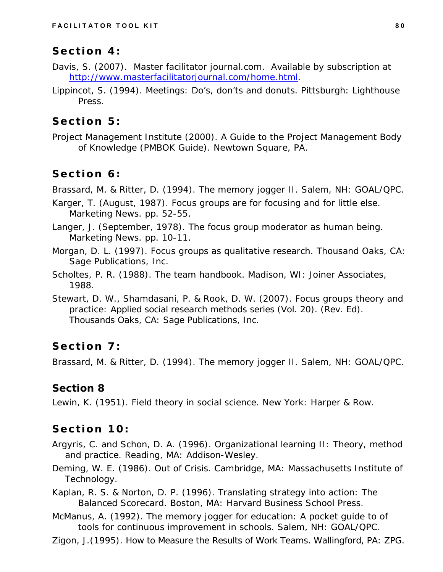### **Section 4:**

- Davis, S. (2007). *Master facilitator journal.com*. Available by subscription at [http://www.masterfacilitatorjournal.com/home.html.](http://www.masterfacilitatorjournal.com/home.html)
- Lippincot, S. (1994). *Meetings: Do's, don'ts and donuts*. Pittsburgh: Lighthouse Press.

### **Section 5:**

Project Management Institute (2000). *A Guide to the Project Management Body of Knowledge (PMBOK Guide).* Newtown Square, PA.

## **Section 6:**

Brassard, M. & Ritter, D. (1994). *The memory jogger II*. Salem, NH: GOAL/QPC.

- Karger, T. (August, 1987). Focus groups are for focusing and for little else. *Marketing News*. pp. 52-55.
- Langer, J. (September, 1978). The focus group moderator as human being. *Marketing News*. pp. 10-11.
- Morgan, D. L. (1997). *Focus groups as qualitative research*. Thousand Oaks, CA: Sage Publications, Inc.
- Scholtes, P. R. (1988). *The team handbook*. Madison, WI: Joiner Associates, 1988.
- Stewart, D. W., Shamdasani, P. & Rook, D. W. (2007). *Focus groups theory and practice: Applied social research methods series* (Vol. 20). (Rev. Ed). Thousands Oaks, CA: Sage Publications, Inc.

# **Section 7:**

Brassard, M. & Ritter, D. (1994). *The memory jogger II*. Salem, NH: GOAL/QPC.

### **Section 8**

Lewin, K. (1951). *Field theory in social science.* New York: Harper & Row.

# **Section 10:**

- Argyris, C. and Schon, D. A. (1996). *Organizational learning II: Theory, method and practice*. Reading, MA: Addison-Wesley.
- Deming, W. E. (1986). *Out of Crisis*. Cambridge, MA: Massachusetts Institute of Technology.
- Kaplan, R. S. & Norton, D. P. (1996). *Translating strategy into action: The Balanced Scorecard*. Boston, MA: Harvard Business School Press.
- McManus, A. (1992). *The memory jogger for education: A pocket guide to of tools for continuous improvement in schools.* Salem, NH: GOAL/QPC.
- Zigon, J.(1995). *How to Measure the Results of Work Teams.* Wallingford, PA: ZPG.